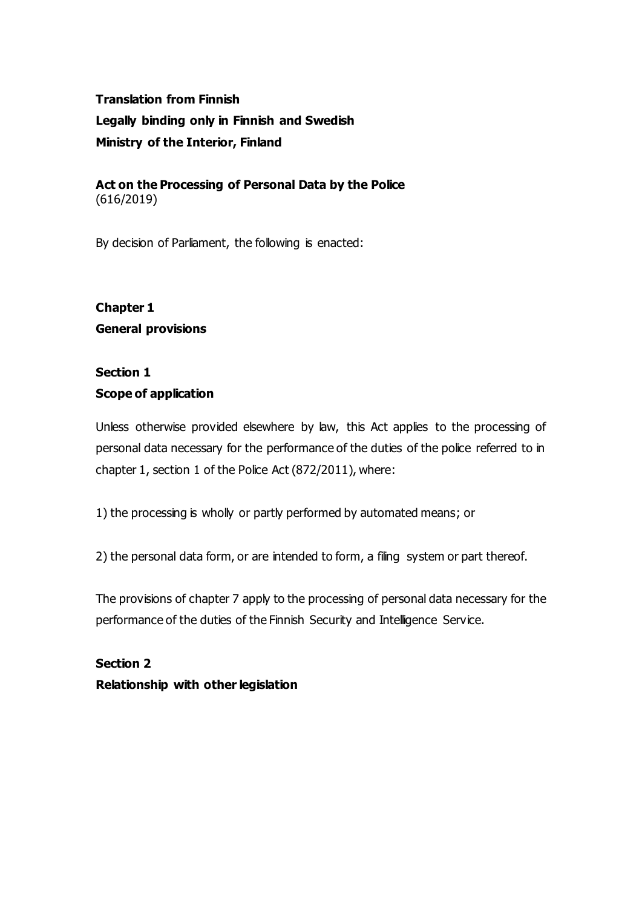# **Translation from Finnish Legally binding only in Finnish and Swedish Ministry of the Interior, Finland**

### **Act on the Processing of Personal Data by the Police** (616/2019)

By decision of Parliament, the following is enacted:

# **Chapter 1 General provisions**

# **Section 1**

## **Scope of application**

Unless otherwise provided elsewhere by law, this Act applies to the processing of personal data necessary for the performance of the duties of the police referred to in chapter 1, section 1 of the Police Act (872/2011), where:

1) the processing is wholly or partly performed by automated means; or

2) the personal data form, or are intended to form, a filing system or part thereof.

The provisions of chapter 7 apply to the processing of personal data necessary for the performance of the duties of the Finnish Security and Intelligence Service.

**Section 2 Relationship with other legislation**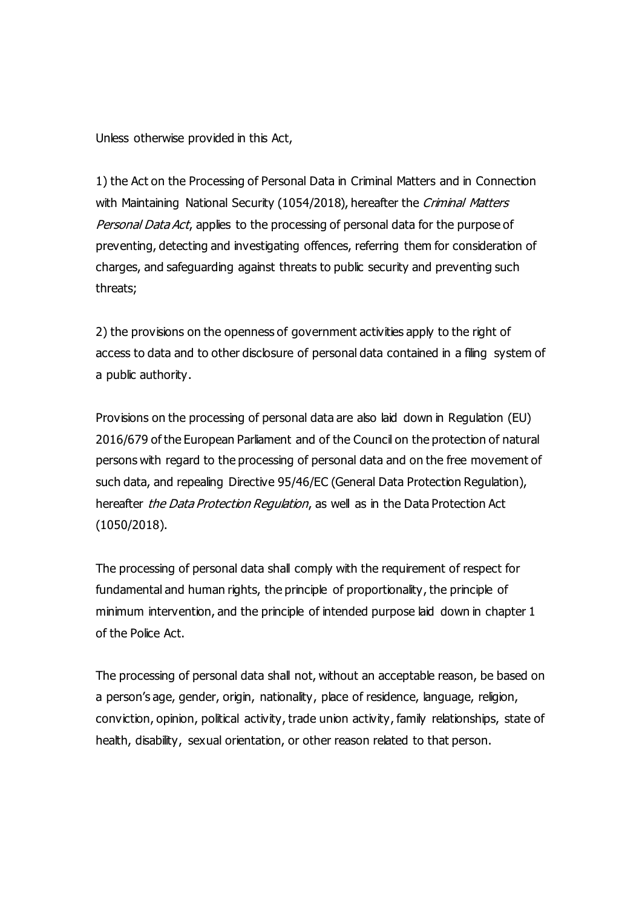Unless otherwise provided in this Act,

1) the Act on the Processing of Personal Data in Criminal Matters and in Connection with Maintaining National Security (1054/2018), hereafter the Criminal Matters Personal Data Act, applies to the processing of personal data for the purpose of preventing, detecting and investigating offences, referring them for consideration of charges, and safeguarding against threats to public security and preventing such threats;

2) the provisions on the openness of government activities apply to the right of access to data and to other disclosure of personal data contained in a filing system of a public authority.

Provisions on the processing of personal data are also laid down in Regulation (EU) 2016/679 of the European Parliament and of the Council on the protection of natural persons with regard to the processing of personal data and on the free movement of such data, and repealing Directive 95/46/EC (General Data Protection Regulation), hereafter the Data Protection Regulation, as well as in the Data Protection Act (1050/2018).

The processing of personal data shall comply with the requirement of respect for fundamental and human rights, the principle of proportionality, the principle of minimum intervention, and the principle of intended purpose laid down in chapter 1 of the Police Act.

The processing of personal data shall not, without an acceptable reason, be based on a person's age, gender, origin, nationality, place of residence, language, religion, conviction, opinion, political activity, trade union activity, family relationships, state of health, disability, sexual orientation, or other reason related to that person.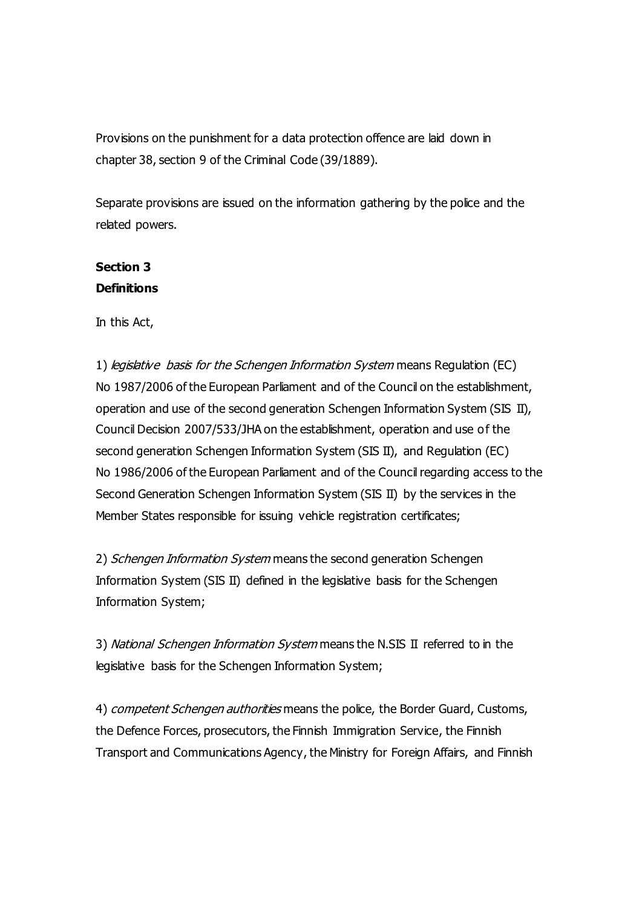Provisions on the punishment for a data protection offence are laid down in chapter 38, section 9 of the Criminal Code (39/1889).

Separate provisions are issued on the information gathering by the police and the related powers.

# **Section 3 Definitions**

In this Act,

1) legislative basis for the Schengen Information System means Regulation (EC) No 1987/2006 of the European Parliament and of the Council on the establishment, operation and use of the second generation Schengen Information System (SIS II), Council Decision 2007/533/JHA on the establishment, operation and use of the second generation Schengen Information System (SIS II), and Regulation (EC) No 1986/2006 of the European Parliament and of the Council regarding access to the Second Generation Schengen Information System (SIS II) by the services in the Member States responsible for issuing vehicle registration certificates;

2) Schengen Information System means the second generation Schengen Information System (SIS II) defined in the legislative basis for the Schengen Information System;

3) National Schengen Information System means the N.SIS II referred to in the legislative basis for the Schengen Information System;

4) *competent Schengen authorities* means the police, the Border Guard, Customs, the Defence Forces, prosecutors, the Finnish Immigration Service, the Finnish Transport and Communications Agency, the Ministry for Foreign Affairs, and Finnish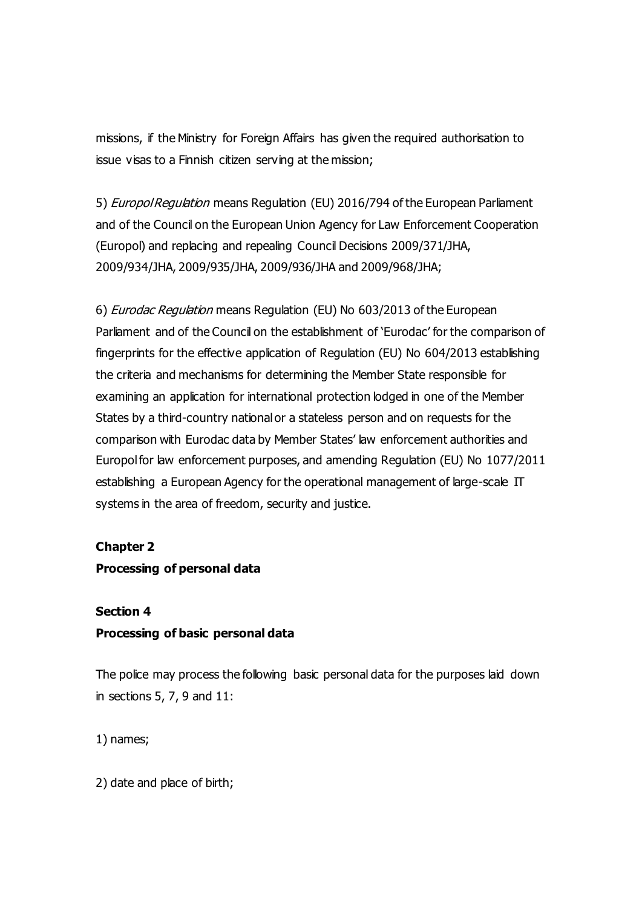missions, if the Ministry for Foreign Affairs has given the required authorisation to issue visas to a Finnish citizen serving at the mission;

5) *Europol Regulation* means Regulation (EU) 2016/794 of the European Parliament and of the Council on the European Union Agency for Law Enforcement Cooperation (Europol) and replacing and repealing Council Decisions 2009/371/JHA, 2009/934/JHA, 2009/935/JHA, 2009/936/JHA and 2009/968/JHA;

6) Eurodac Regulation means Regulation (EU) No 603/2013 of the European Parliament and of the Council on the establishment of 'Eurodac' for the comparison of fingerprints for the effective application of Regulation (EU) No 604/2013 establishing the criteria and mechanisms for determining the Member State responsible for examining an application for international protection lodged in one of the Member States by a third-country national or a stateless person and on requests for the comparison with Eurodac data by Member States' law enforcement authorities and Europol for law enforcement purposes, and amending Regulation (EU) No 1077/2011 establishing a European Agency for the operational management of large-scale IT systems in the area of freedom, security and justice.

#### **Chapter 2**

### **Processing of personal data**

#### **Section 4**

## **Processing of basic personal data**

The police may process the following basic personal data for the purposes laid down in sections 5, 7, 9 and 11:

1) names;

2) date and place of birth;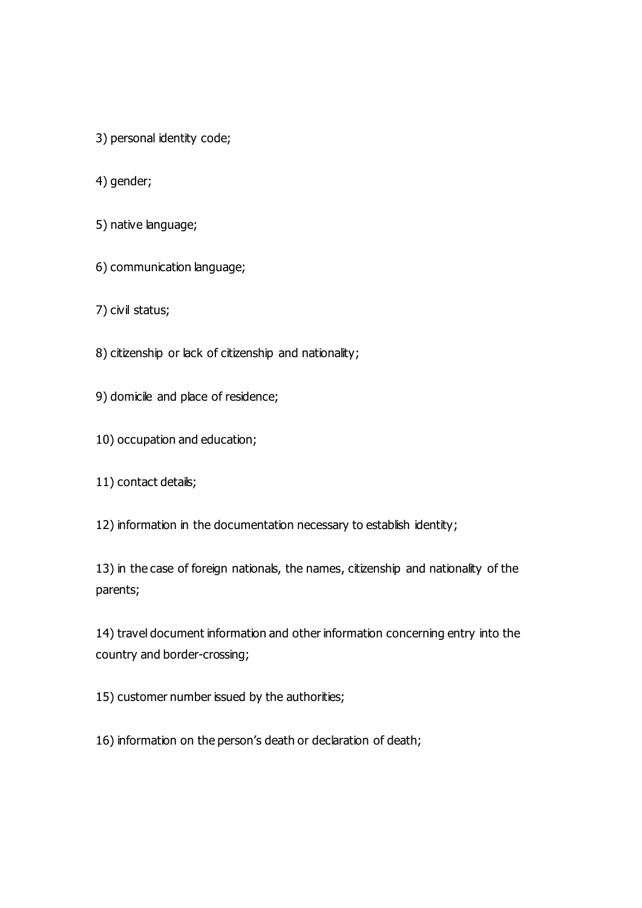- 3) personal identity code;
- 4) gender;
- 5) native language;
- 6) communication language;
- 7) civil status;
- 8) citizenship or lack of citizenship and nationality;
- 9) domicile and place of residence;
- 10) occupation and education;
- 11) contact details;
- 12) information in the documentation necessary to establish identity;
- 13) in the case of foreign nationals, the names, citizenship and nationality of the parents;

14) travel document information and other information concerning entry into the country and border-crossing;

15) customer number issued by the authorities;

16) information on the person's death or declaration of death;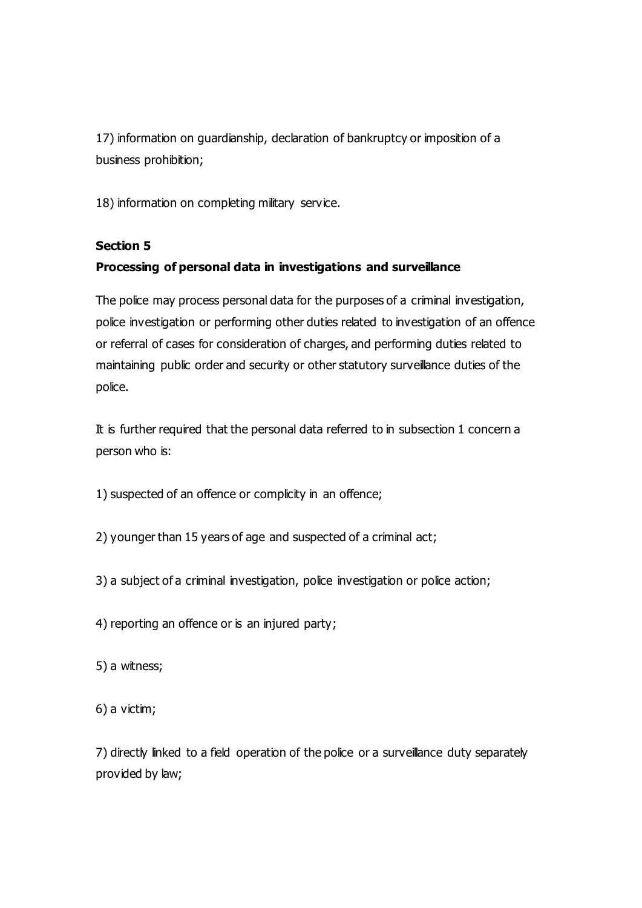17) information on guardianship, declaration of bankruptcy or imposition of a business prohibition;

18) information on completing military service.

## **Section 5**

## **Processing of personal data in investigations and surveillance**

The police may process personal data for the purposes of a criminal investigation, police investigation or performing other duties related to investigation of an offence or referral of cases for consideration of charges, and performing duties related to maintaining public order and security or other statutory surveillance duties of the police.

It is further required that the personal data referred to in subsection 1 concern a person who is:

1) suspected of an offence or complicity in an offence;

2) younger than 15 years of age and suspected of a criminal act;

3) a subject of a criminal investigation, police investigation or police action;

4) reporting an offence or is an injured party;

5) a witness;

6) a victim;

7) directly linked to a field operation of the police or a surveillance duty separately provided by law;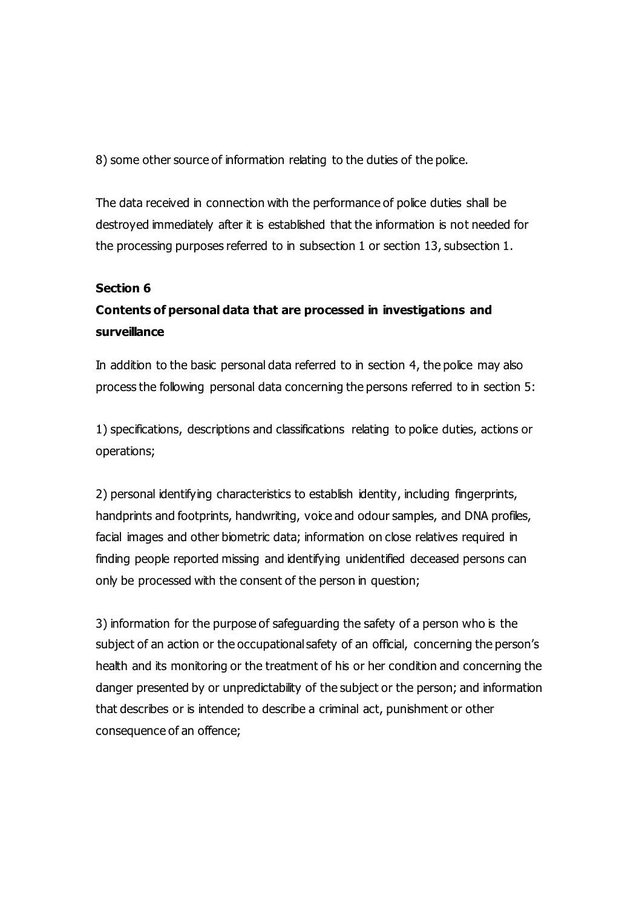8) some other source of information relating to the duties of the police.

The data received in connection with the performance of police duties shall be destroyed immediately after it is established that the information is not needed for the processing purposes referred to in subsection 1 or section 13, subsection 1.

### **Section 6**

# **Contents of personal data that are processed in investigations and surveillance**

In addition to the basic personal data referred to in section 4, the police may also process the following personal data concerning the persons referred to in section 5:

1) specifications, descriptions and classifications relating to police duties, actions or operations;

2) personal identifying characteristics to establish identity, including fingerprints, handprints and footprints, handwriting, voice and odour samples, and DNA profiles, facial images and other biometric data; information on close relatives required in finding people reported missing and identifying unidentified deceased persons can only be processed with the consent of the person in question;

3) information for the purpose of safeguarding the safety of a person who is the subject of an action or the occupational safety of an official, concerning the person's health and its monitoring or the treatment of his or her condition and concerning the danger presented by or unpredictability of the subject or the person; and information that describes or is intended to describe a criminal act, punishment or other consequence of an offence;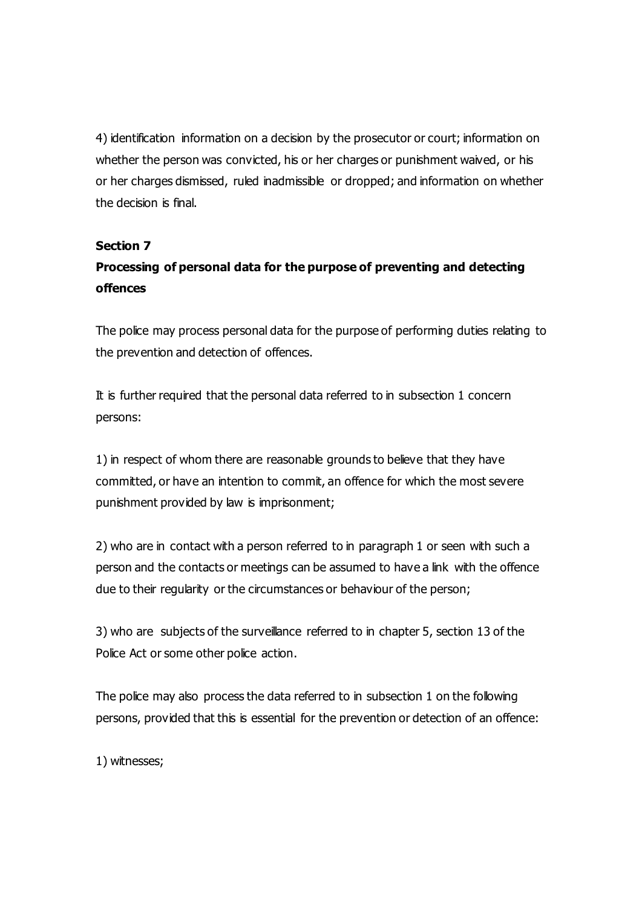4) identification information on a decision by the prosecutor or court; information on whether the person was convicted, his or her charges or punishment waived, or his or her charges dismissed, ruled inadmissible or dropped; and information on whether the decision is final.

### **Section 7**

# **Processing of personal data for the purpose of preventing and detecting offences**

The police may process personal data for the purpose of performing duties relating to the prevention and detection of offences.

It is further required that the personal data referred to in subsection 1 concern persons:

1) in respect of whom there are reasonable grounds to believe that they have committed, or have an intention to commit, an offence for which the most severe punishment provided by law is imprisonment;

2) who are in contact with a person referred to in paragraph 1 or seen with such a person and the contacts or meetings can be assumed to have a link with the offence due to their regularity or the circumstances or behaviour of the person;

3) who are subjects of the surveillance referred to in chapter 5, section 13 of the Police Act or some other police action.

The police may also process the data referred to in subsection 1 on the following persons, provided that this is essential for the prevention or detection of an offence:

1) witnesses;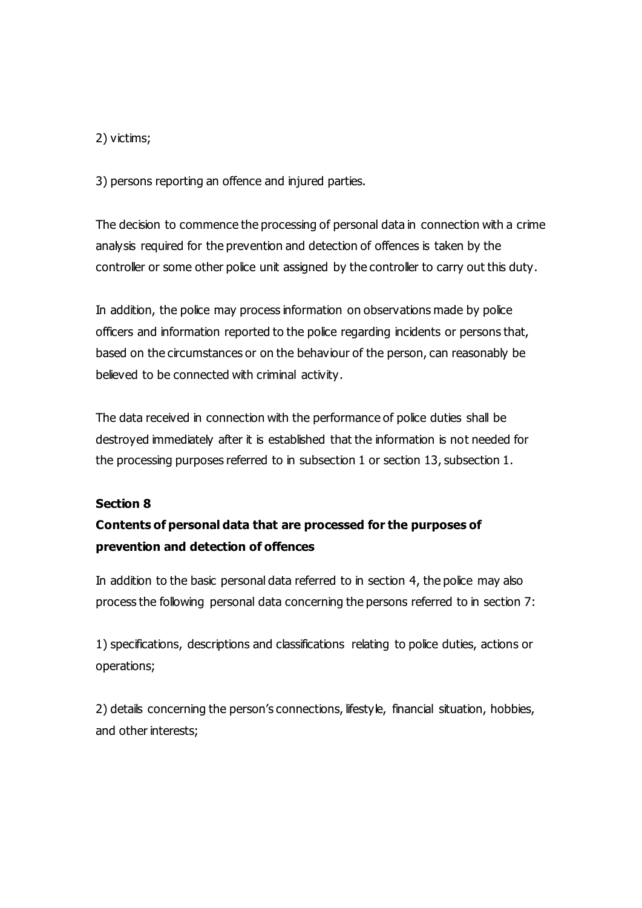### 2) victims;

3) persons reporting an offence and injured parties.

The decision to commence the processing of personal data in connection with a crime analysis required for the prevention and detection of offences is taken by the controller or some other police unit assigned by the controller to carry out this duty.

In addition, the police may process information on observations made by police officers and information reported to the police regarding incidents or persons that, based on the circumstances or on the behaviour of the person, can reasonably be believed to be connected with criminal activity.

The data received in connection with the performance of police duties shall be destroyed immediately after it is established that the information is not needed for the processing purposes referred to in subsection 1 or section 13, subsection 1.

### **Section 8**

# **Contents of personal data that are processed for the purposes of prevention and detection of offences**

In addition to the basic personal data referred to in section 4, the police may also process the following personal data concerning the persons referred to in section 7:

1) specifications, descriptions and classifications relating to police duties, actions or operations;

2) details concerning the person's connections, lifestyle, financial situation, hobbies, and other interests;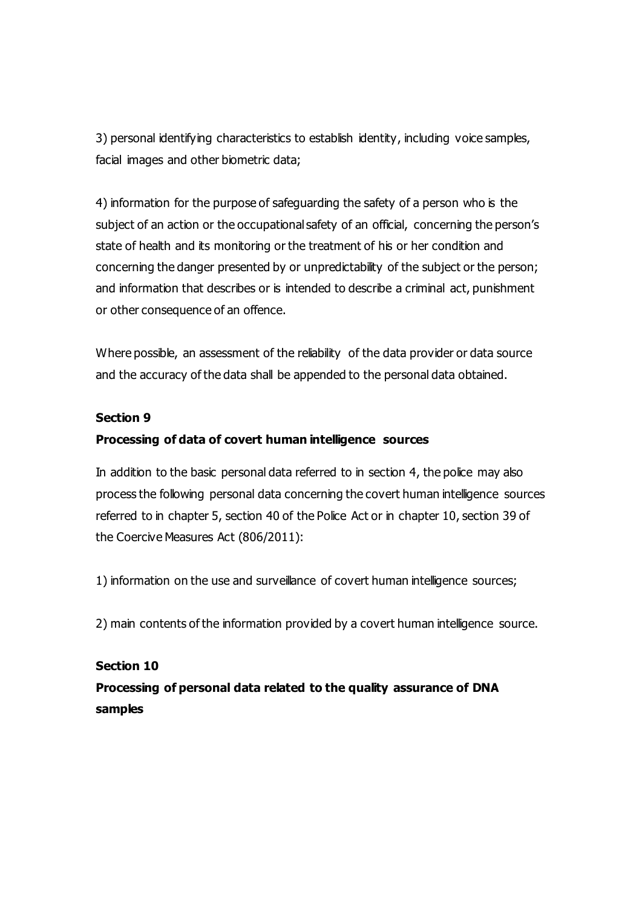3) personal identifying characteristics to establish identity, including voice samples, facial images and other biometric data;

4) information for the purpose of safeguarding the safety of a person who is the subject of an action or the occupational safety of an official, concerning the person's state of health and its monitoring or the treatment of his or her condition and concerning the danger presented by or unpredictability of the subject or the person; and information that describes or is intended to describe a criminal act, punishment or other consequence of an offence.

Where possible, an assessment of the reliability of the data provider or data source and the accuracy of the data shall be appended to the personal data obtained.

#### **Section 9**

### **Processing of data of covert human intelligence sources**

In addition to the basic personal data referred to in section 4, the police may also process the following personal data concerning the covert human intelligence sources referred to in chapter 5, section 40 of the Police Act or in chapter 10, section 39 of the Coercive Measures Act (806/2011):

1) information on the use and surveillance of covert human intelligence sources;

2) main contents of the information provided by a covert human intelligence source.

# **Section 10 Processing of personal data related to the quality assurance of DNA samples**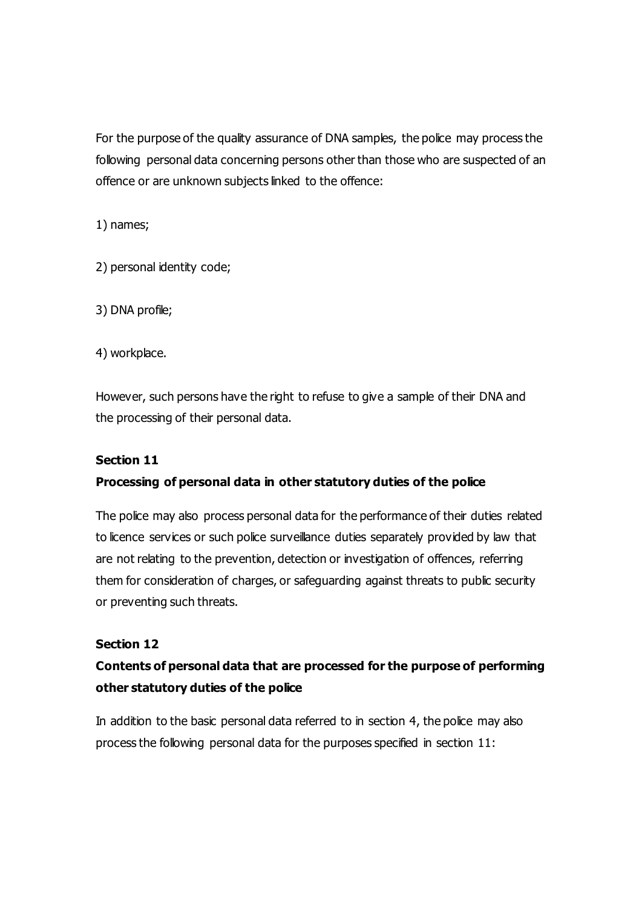For the purpose of the quality assurance of DNA samples, the police may process the following personal data concerning persons other than those who are suspected of an offence or are unknown subjects linked to the offence:

1) names;

2) personal identity code;

3) DNA profile;

4) workplace.

However, such persons have the right to refuse to give a sample of their DNA and the processing of their personal data.

### **Section 11**

## **Processing of personal data in other statutory duties of the police**

The police may also process personal data for the performance of their duties related to licence services or such police surveillance duties separately provided by law that are not relating to the prevention, detection or investigation of offences, referring them for consideration of charges, or safeguarding against threats to public security or preventing such threats.

### **Section 12**

# **Contents of personal data that are processed for the purpose of performing other statutory duties of the police**

In addition to the basic personal data referred to in section 4, the police may also process the following personal data for the purposes specified in section 11: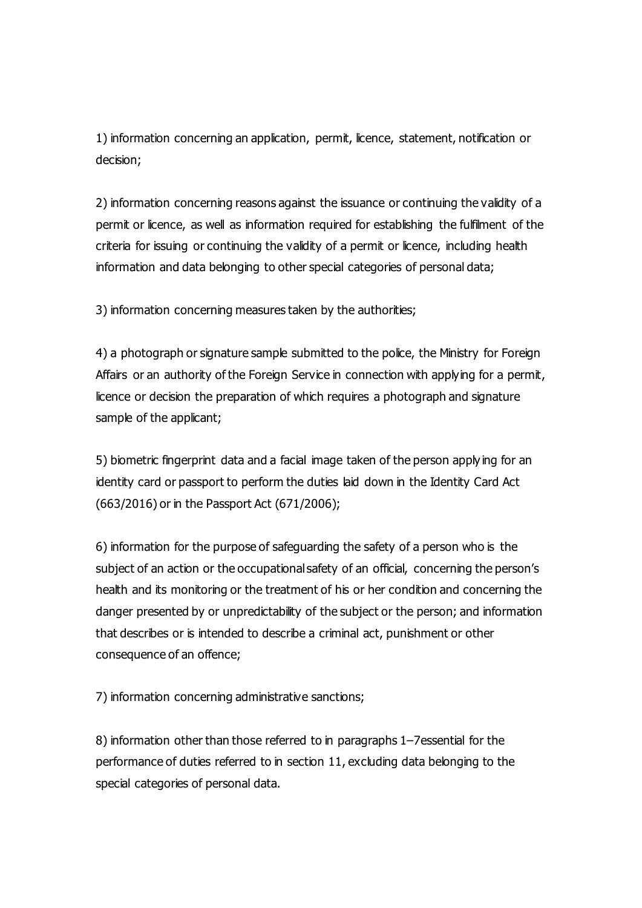1) information concerning an application, permit, licence, statement, notification or decision;

2) information concerning reasons against the issuance or continuing the validity of a permit or licence, as well as information required for establishing the fulfilment of the criteria for issuing or continuing the validity of a permit or licence, including health information and data belonging to other special categories of personal data;

3) information concerning measures taken by the authorities;

4) a photograph or signature sample submitted to the police, the Ministry for Foreign Affairs or an authority of the Foreign Service in connection with applying for a permit, licence or decision the preparation of which requires a photograph and signature sample of the applicant;

5) biometric fingerprint data and a facial image taken of the person apply ing for an identity card or passport to perform the duties laid down in the Identity Card Act (663/2016) or in the Passport Act (671/2006);

6) information for the purpose of safeguarding the safety of a person who is the subject of an action or the occupational safety of an official, concerning the person's health and its monitoring or the treatment of his or her condition and concerning the danger presented by or unpredictability of the subject or the person; and information that describes or is intended to describe a criminal act, punishment or other consequence of an offence;

7) information concerning administrative sanctions;

8) information other than those referred to in paragraphs 1–7essential for the performance of duties referred to in section 11, excluding data belonging to the special categories of personal data.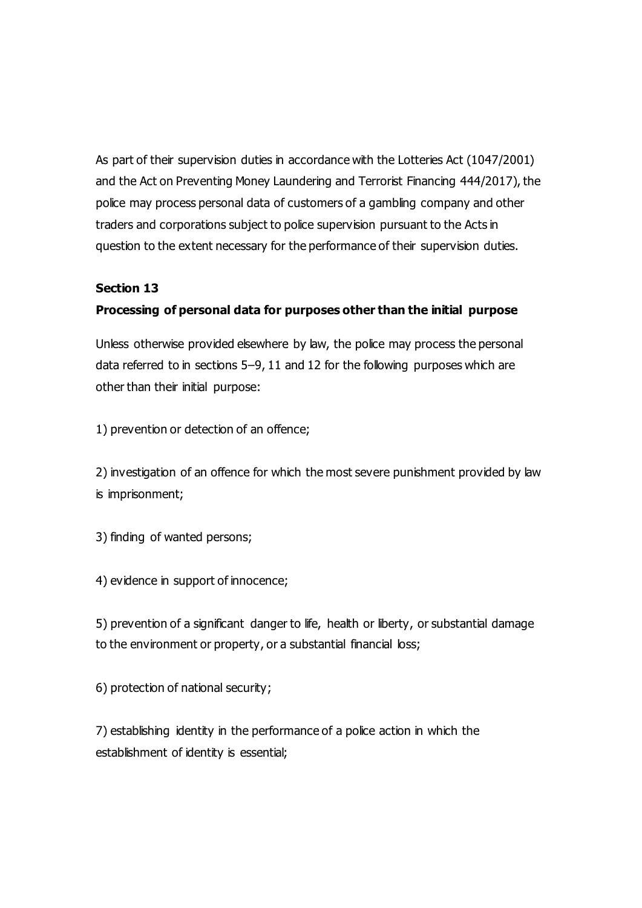As part of their supervision duties in accordance with the Lotteries Act (1047/2001) and the Act on Preventing Money Laundering and Terrorist Financing 444/2017), the police may process personal data of customers of a gambling company and other traders and corporations subject to police supervision pursuant to the Acts in question to the extent necessary for the performance of their supervision duties.

### **Section 13**

### **Processing of personal data for purposes other than the initial purpose**

Unless otherwise provided elsewhere by law, the police may process the personal data referred to in sections 5–9, 11 and 12 for the following purposes which are other than their initial purpose:

1) prevention or detection of an offence;

2) investigation of an offence for which the most severe punishment provided by law is imprisonment;

3) finding of wanted persons;

4) evidence in support of innocence;

5) prevention of a significant danger to life, health or liberty, or substantial damage to the environment or property, or a substantial financial loss;

6) protection of national security;

7) establishing identity in the performance of a police action in which the establishment of identity is essential;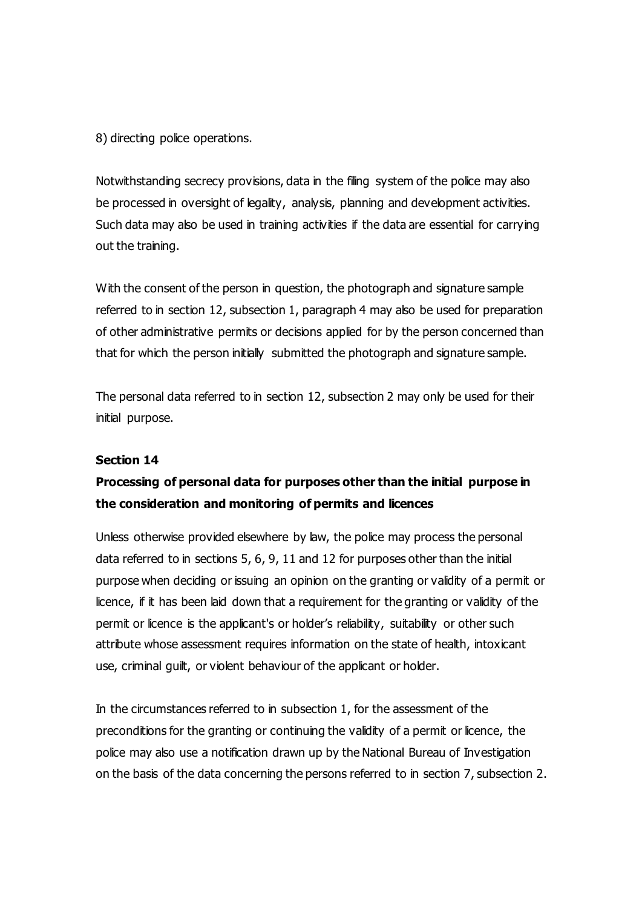8) directing police operations.

Notwithstanding secrecy provisions, data in the filing system of the police may also be processed in oversight of legality, analysis, planning and development activities. Such data may also be used in training activities if the data are essential for carrying out the training.

With the consent of the person in question, the photograph and signature sample referred to in section 12, subsection 1, paragraph 4 may also be used for preparation of other administrative permits or decisions applied for by the person concerned than that for which the person initially submitted the photograph and signature sample.

The personal data referred to in section 12, subsection 2 may only be used for their initial purpose.

#### **Section 14**

# **Processing of personal data for purposes other than the initial purpose in the consideration and monitoring of permits and licences**

Unless otherwise provided elsewhere by law, the police may process the personal data referred to in sections 5, 6, 9, 11 and 12 for purposes other than the initial purpose when deciding or issuing an opinion on the granting or validity of a permit or licence, if it has been laid down that a requirement for the granting or validity of the permit or licence is the applicant's or holder's reliability, suitability or other such attribute whose assessment requires information on the state of health, intoxicant use, criminal guilt, or violent behaviour of the applicant or holder.

In the circumstances referred to in subsection 1, for the assessment of the preconditions for the granting or continuing the validity of a permit or licence, the police may also use a notification drawn up by the National Bureau of Investigation on the basis of the data concerning the persons referred to in section 7, subsection 2.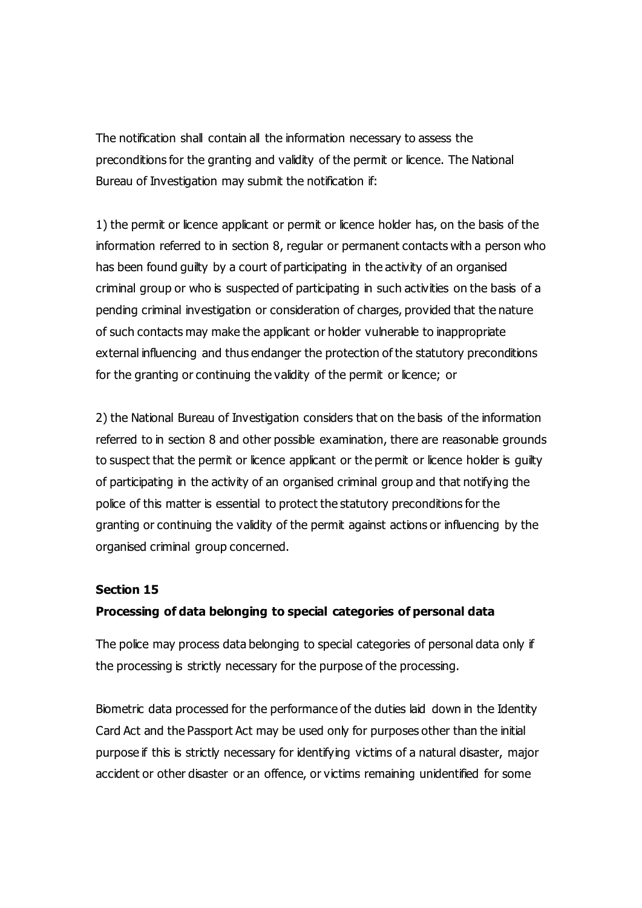The notification shall contain all the information necessary to assess the preconditions for the granting and validity of the permit or licence. The National Bureau of Investigation may submit the notification if:

1) the permit or licence applicant or permit or licence holder has, on the basis of the information referred to in section 8, regular or permanent contacts with a person who has been found quilty by a court of participating in the activity of an organised criminal group or who is suspected of participating in such activities on the basis of a pending criminal investigation or consideration of charges, provided that the nature of such contacts may make the applicant or holder vulnerable to inappropriate external influencing and thus endanger the protection of the statutory preconditions for the granting or continuing the validity of the permit or licence; or

2) the National Bureau of Investigation considers that on the basis of the information referred to in section 8 and other possible examination, there are reasonable grounds to suspect that the permit or licence applicant or the permit or licence holder is guilty of participating in the activity of an organised criminal group and that notifying the police of this matter is essential to protect the statutory preconditions for the granting or continuing the validity of the permit against actions or influencing by the organised criminal group concerned.

#### **Section 15**

#### **Processing of data belonging to special categories of personal data**

The police may process data belonging to special categories of personal data only if the processing is strictly necessary for the purpose of the processing.

Biometric data processed for the performance of the duties laid down in the Identity Card Act and the Passport Act may be used only for purposes other than the initial purpose if this is strictly necessary for identifying victims of a natural disaster, major accident or other disaster or an offence, or victims remaining unidentified for some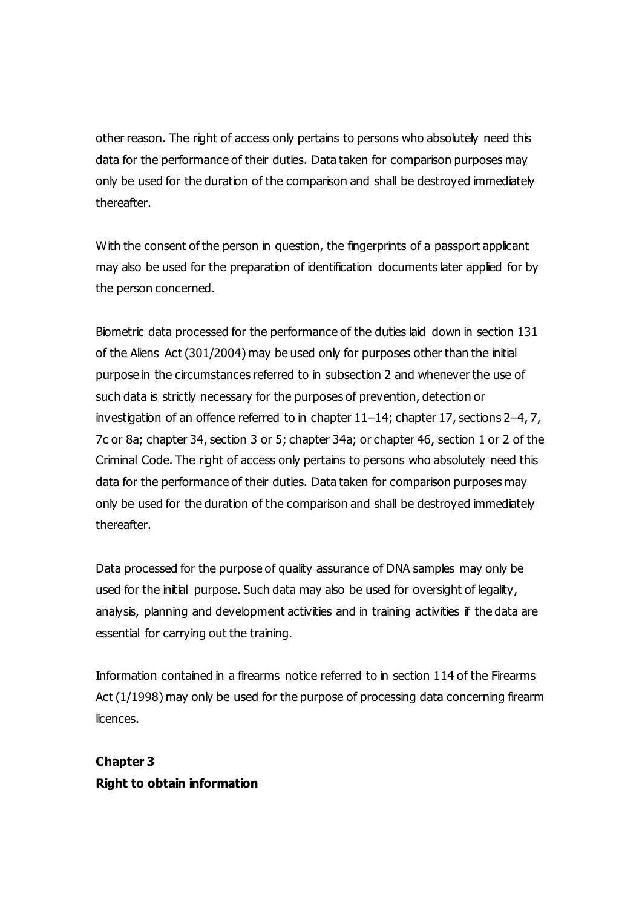other reason. The right of access only pertains to persons who absolutely need this data for the performance of their duties. Data taken for comparison purposes may only be used for the duration of the comparison and shall be destroyed immediately thereafter.

With the consent of the person in question, the fingerprints of a passport applicant may also be used for the preparation of identification documents later applied for by the person concerned.

Biometric data processed for the performance of the duties laid down in section 131 of the Aliens Act (301/2004) may be used only for purposes other than the initial purpose in the circumstances referred to in subsection 2 and whenever the use of such data is strictly necessary for the purposes of prevention, detection or investigation of an offence referred to in chapter 11–14; chapter 17, sections 2–4, 7, 7c or 8a; chapter 34, section 3 or 5; chapter 34a; or chapter 46, section 1 or 2 of the Criminal Code. The right of access only pertains to persons who absolutely need this data for the performance of their duties. Data taken for comparison purposes may only be used for the duration of the comparison and shall be destroyed immediately thereafter.

Data processed for the purpose of quality assurance of DNA samples may only be used for the initial purpose. Such data may also be used for oversight of legality, analysis, planning and development activities and in training activities if the data are essential for carrying out the training.

Information contained in a firearms notice referred to in section 114 of the Firearms Act (1/1998) may only be used for the purpose of processing data concerning firearm licences.

**Chapter 3 Right to obtain information**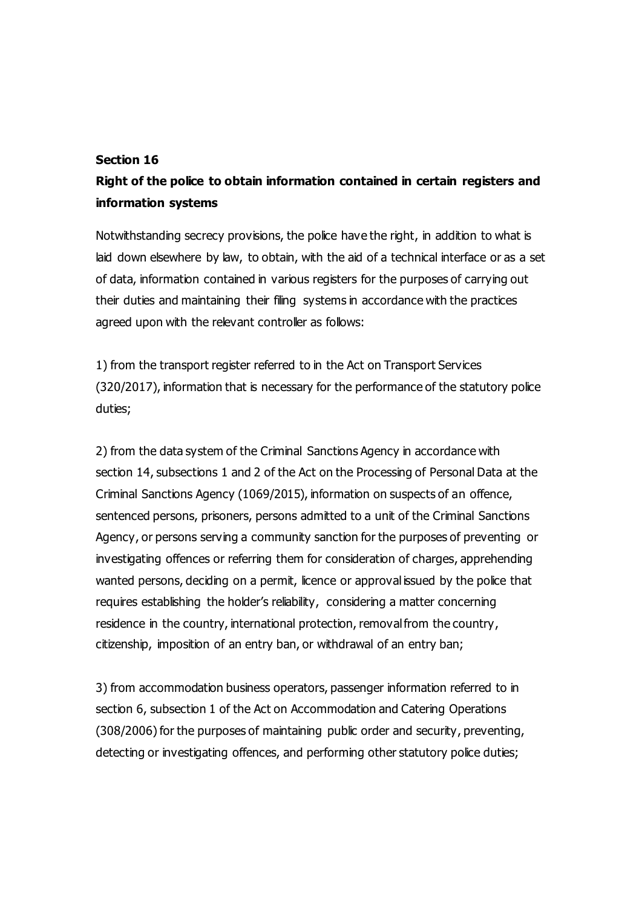#### **Section 16**

# **Right of the police to obtain information contained in certain registers and information systems**

Notwithstanding secrecy provisions, the police have the right, in addition to what is laid down elsewhere by law, to obtain, with the aid of a technical interface or as a set of data, information contained in various registers for the purposes of carrying out their duties and maintaining their filing systems in accordance with the practices agreed upon with the relevant controller as follows:

1) from the transport register referred to in the Act on Transport Services (320/2017), information that is necessary for the performance of the statutory police duties;

2) from the data system of the Criminal Sanctions Agency in accordance with section 14, subsections 1 and 2 of the Act on the Processing of Personal Data at the Criminal Sanctions Agency (1069/2015), information on suspects of an offence, sentenced persons, prisoners, persons admitted to a unit of the Criminal Sanctions Agency, or persons serving a community sanction for the purposes of preventing or investigating offences or referring them for consideration of charges, apprehending wanted persons, deciding on a permit, licence or approval issued by the police that requires establishing the holder's reliability, considering a matter concerning residence in the country, international protection, removal from the country, citizenship, imposition of an entry ban, or withdrawal of an entry ban;

3) from accommodation business operators, passenger information referred to in section 6, subsection 1 of the Act on Accommodation and Catering Operations (308/2006) for the purposes of maintaining public order and security, preventing, detecting or investigating offences, and performing other statutory police duties;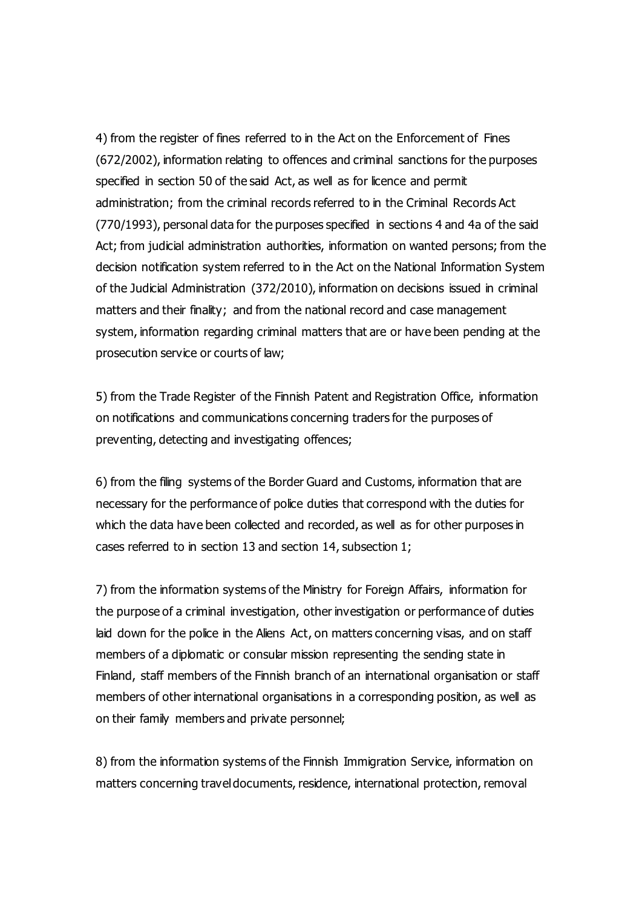4) from the register of fines referred to in the Act on the Enforcement of Fines (672/2002), information relating to offences and criminal sanctions for the purposes specified in section 50 of the said Act, as well as for licence and permit administration; from the criminal records referred to in the Criminal Records Act (770/1993), personal data for the purposes specified in sections 4 and 4a of the said Act; from judicial administration authorities, information on wanted persons; from the decision notification system referred to in the Act on the National Information System of the Judicial Administration (372/2010), information on decisions issued in criminal matters and their finality; and from the national record and case management system, information regarding criminal matters that are or have been pending at the prosecution service or courts of law;

5) from the Trade Register of the Finnish Patent and Registration Office, information on notifications and communications concerning traders for the purposes of preventing, detecting and investigating offences;

6) from the filing systems of the Border Guard and Customs, information that are necessary for the performance of police duties that correspond with the duties for which the data have been collected and recorded, as well as for other purposes in cases referred to in section 13 and section 14, subsection 1;

7) from the information systems of the Ministry for Foreign Affairs, information for the purpose of a criminal investigation, other investigation or performance of duties laid down for the police in the Aliens Act, on matters concerning visas, and on staff members of a diplomatic or consular mission representing the sending state in Finland, staff members of the Finnish branch of an international organisation or staff members of other international organisations in a corresponding position, as well as on their family members and private personnel;

8) from the information systems of the Finnish Immigration Service, information on matters concerning travel documents, residence, international protection, removal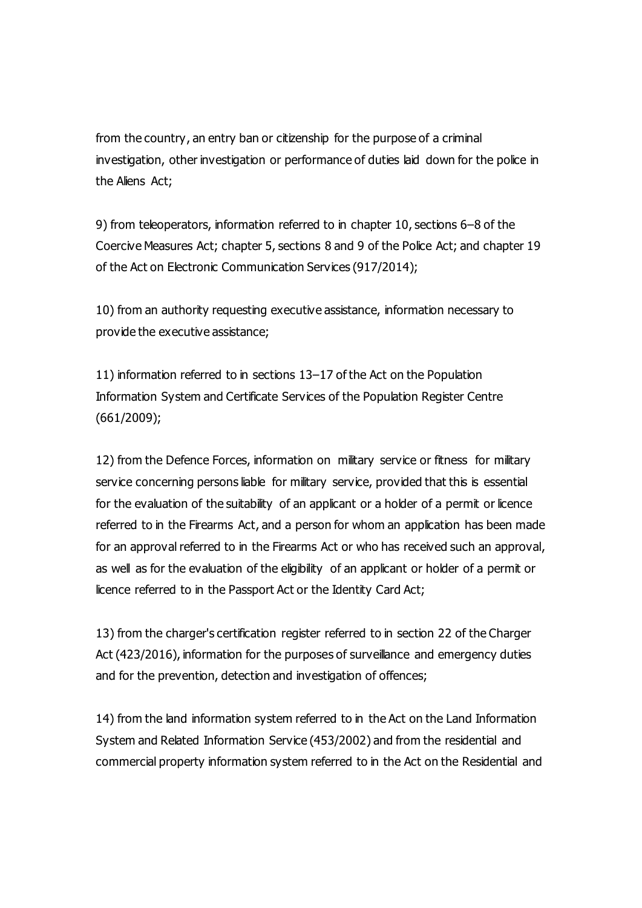from the country, an entry ban or citizenship for the purpose of a criminal investigation, other investigation or performance of duties laid down for the police in the Aliens Act;

9) from teleoperators, information referred to in chapter 10, sections 6–8 of the Coercive Measures Act; chapter 5, sections 8 and 9 of the Police Act; and chapter 19 of the Act on Electronic Communication Services (917/2014);

10) from an authority requesting executive assistance, information necessary to provide the executive assistance;

11) information referred to in sections 13–17 of the Act on the Population Information System and Certificate Services of the Population Register Centre (661/2009);

12) from the Defence Forces, information on military service or fitness for military service concerning persons liable for military service, provided that this is essential for the evaluation of the suitability of an applicant or a holder of a permit or licence referred to in the Firearms Act, and a person for whom an application has been made for an approval referred to in the Firearms Act or who has received such an approval, as well as for the evaluation of the eligibility of an applicant or holder of a permit or licence referred to in the Passport Act or the Identity Card Act;

13) from the charger's certification register referred to in section 22 of the Charger Act (423/2016), information for the purposes of surveillance and emergency duties and for the prevention, detection and investigation of offences;

14) from the land information system referred to in the Act on the Land Information System and Related Information Service (453/2002) and from the residential and commercial property information system referred to in the Act on the Residential and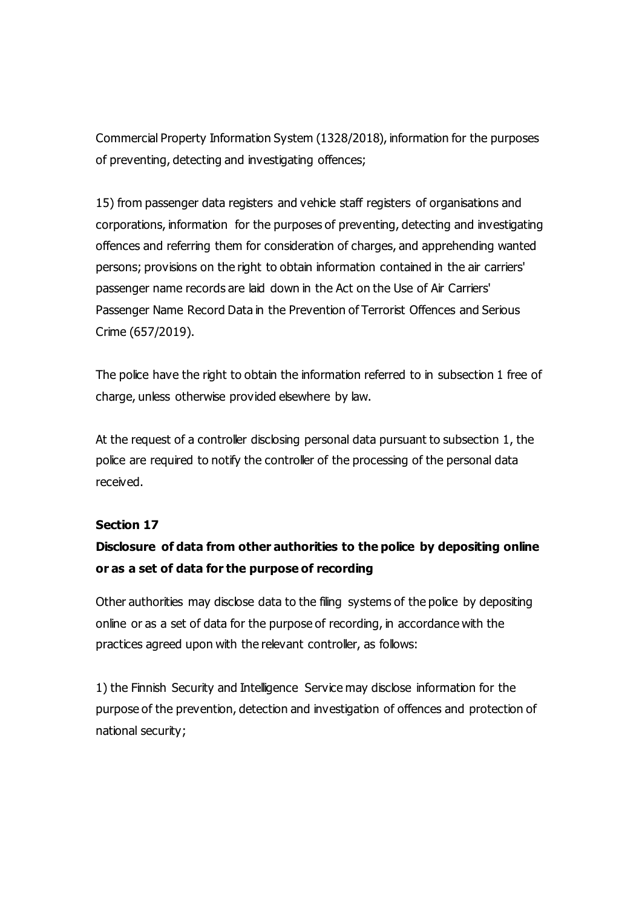Commercial Property Information System (1328/2018), information for the purposes of preventing, detecting and investigating offences;

15) from passenger data registers and vehicle staff registers of organisations and corporations, information for the purposes of preventing, detecting and investigating offences and referring them for consideration of charges, and apprehending wanted persons; provisions on the right to obtain information contained in the air carriers' passenger name records are laid down in the Act on the Use of Air Carriers' Passenger Name Record Data in the Prevention of Terrorist Offences and Serious Crime (657/2019).

The police have the right to obtain the information referred to in subsection 1 free of charge, unless otherwise provided elsewhere by law.

At the request of a controller disclosing personal data pursuant to subsection 1, the police are required to notify the controller of the processing of the personal data received.

#### **Section 17**

## **Disclosure of data from other authorities to the police by depositing online or as a set of data for the purpose of recording**

Other authorities may disclose data to the filing systems of the police by depositing online or as a set of data for the purpose of recording, in accordance with the practices agreed upon with the relevant controller, as follows:

1) the Finnish Security and Intelligence Service may disclose information for the purpose of the prevention, detection and investigation of offences and protection of national security;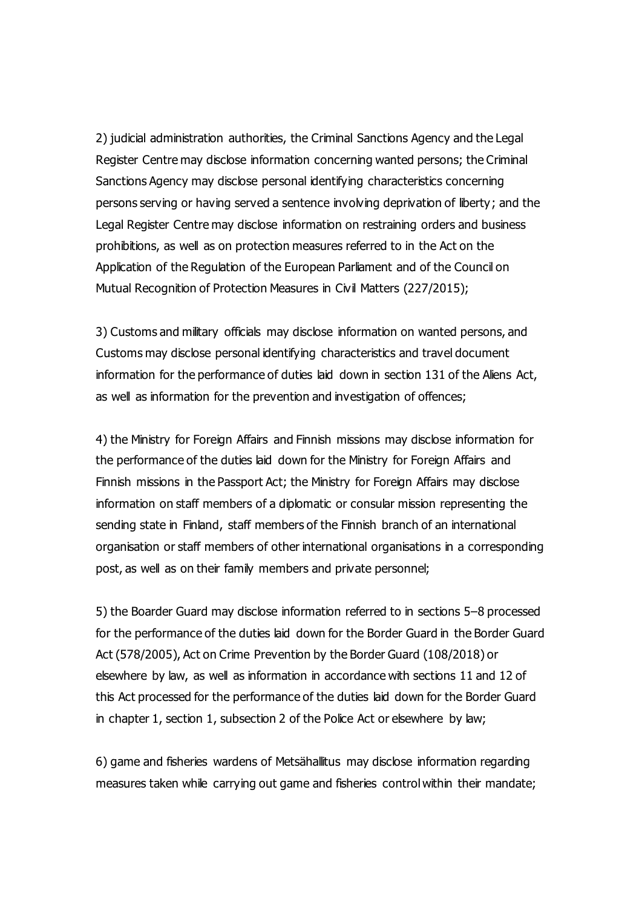2) judicial administration authorities, the Criminal Sanctions Agency and the Legal Register Centre may disclose information concerning wanted persons; the Criminal Sanctions Agency may disclose personal identifying characteristics concerning persons serving or having served a sentence involving deprivation of liberty; and the Legal Register Centre may disclose information on restraining orders and business prohibitions, as well as on protection measures referred to in the Act on the Application of the Regulation of the European Parliament and of the Council on Mutual Recognition of Protection Measures in Civil Matters (227/2015);

3) Customs and military officials may disclose information on wanted persons, and Customs may disclose personal identifying characteristics and travel document information for the performance of duties laid down in section 131 of the Aliens Act, as well as information for the prevention and investigation of offences;

4) the Ministry for Foreign Affairs and Finnish missions may disclose information for the performance of the duties laid down for the Ministry for Foreign Affairs and Finnish missions in the Passport Act; the Ministry for Foreign Affairs may disclose information on staff members of a diplomatic or consular mission representing the sending state in Finland, staff members of the Finnish branch of an international organisation or staff members of other international organisations in a corresponding post, as well as on their family members and private personnel;

5) the Boarder Guard may disclose information referred to in sections 5–8 processed for the performance of the duties laid down for the Border Guard in the Border Guard Act (578/2005), Act on Crime Prevention by the Border Guard (108/2018) or elsewhere by law, as well as information in accordance with sections 11 and 12 of this Act processed for the performance of the duties laid down for the Border Guard in chapter 1, section 1, subsection 2 of the Police Act or elsewhere by law;

6) game and fisheries wardens of Metsähallitus may disclose information regarding measures taken while carrying out game and fisheries control within their mandate;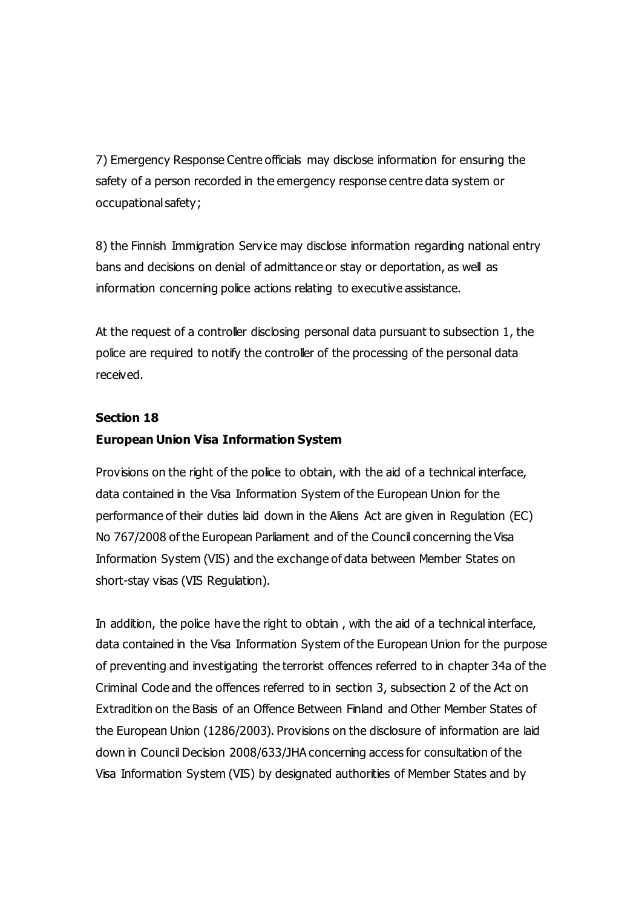7) Emergency Response Centre officials may disclose information for ensuring the safety of a person recorded in the emergency response centre data system or occupational safety;

8) the Finnish Immigration Service may disclose information regarding national entry bans and decisions on denial of admittance or stay or deportation, as well as information concerning police actions relating to executive assistance.

At the request of a controller disclosing personal data pursuant to subsection 1, the police are required to notify the controller of the processing of the personal data received.

### **Section 18**

## **European Union Visa Information System**

Provisions on the right of the police to obtain, with the aid of a technical interface, data contained in the Visa Information System of the European Union for the performance of their duties laid down in the Aliens Act are given in Regulation (EC) No 767/2008 of the European Parliament and of the Council concerning the Visa Information System (VIS) and the exchange of data between Member States on short-stay visas (VIS Regulation).

In addition, the police have the right to obtain , with the aid of a technical interface, data contained in the Visa Information System of the European Union for the purpose of preventing and investigating the terrorist offences referred to in chapter 34a of the Criminal Code and the offences referred to in section 3, subsection 2 of the Act on Extradition on the Basis of an Offence Between Finland and Other Member States of the European Union (1286/2003). Provisions on the disclosure of information are laid down in Council Decision 2008/633/JHA concerning access for consultation of the Visa Information System (VIS) by designated authorities of Member States and by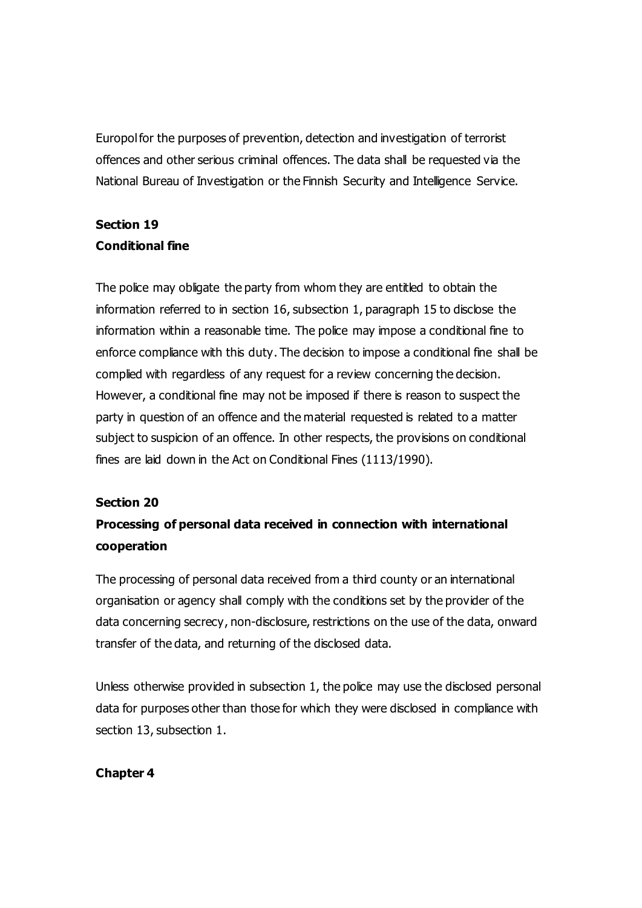Europol for the purposes of prevention, detection and investigation of terrorist offences and other serious criminal offences. The data shall be requested via the National Bureau of Investigation or the Finnish Security and Intelligence Service.

# **Section 19 Conditional fine**

The police may obligate the party from whom they are entitled to obtain the information referred to in section 16, subsection 1, paragraph 15 to disclose the information within a reasonable time. The police may impose a conditional fine to enforce compliance with this duty. The decision to impose a conditional fine shall be complied with regardless of any request for a review concerning the decision. However, a conditional fine may not be imposed if there is reason to suspect the party in question of an offence and the material requested is related to a matter subject to suspicion of an offence. In other respects, the provisions on conditional fines are laid down in the Act on Conditional Fines (1113/1990).

## **Section 20**

# **Processing of personal data received in connection with international cooperation**

The processing of personal data received from a third county or an international organisation or agency shall comply with the conditions set by the provider of the data concerning secrecy, non-disclosure, restrictions on the use of the data, onward transfer of the data, and returning of the disclosed data.

Unless otherwise provided in subsection 1, the police may use the disclosed personal data for purposes other than those for which they were disclosed in compliance with section 13, subsection 1.

## **Chapter 4**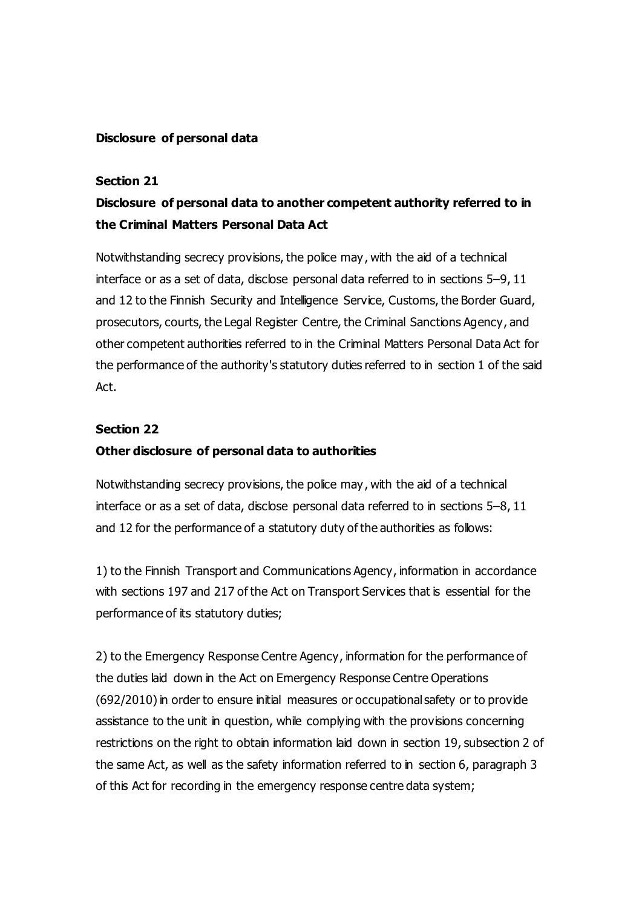#### **Disclosure of personal data**

#### **Section 21**

# **Disclosure of personal data to another competent authority referred to in the Criminal Matters Personal Data Act**

Notwithstanding secrecy provisions, the police may , with the aid of a technical interface or as a set of data, disclose personal data referred to in sections 5–9, 11 and 12 to the Finnish Security and Intelligence Service, Customs, the Border Guard, prosecutors, courts, the Legal Register Centre, the Criminal Sanctions Agency, and other competent authorities referred to in the Criminal Matters Personal Data Act for the performance of the authority's statutory duties referred to in section 1 of the said Act.

#### **Section 22**

#### **Other disclosure of personal data to authorities**

Notwithstanding secrecy provisions, the police may , with the aid of a technical interface or as a set of data, disclose personal data referred to in sections 5–8, 11 and 12 for the performance of a statutory duty of the authorities as follows:

1) to the Finnish Transport and Communications Agency, information in accordance with sections 197 and 217 of the Act on Transport Services that is essential for the performance of its statutory duties;

2) to the Emergency Response Centre Agency, information for the performance of the duties laid down in the Act on Emergency Response Centre Operations (692/2010) in order to ensure initial measures or occupational safety or to provide assistance to the unit in question, while complying with the provisions concerning restrictions on the right to obtain information laid down in section 19, subsection 2 of the same Act, as well as the safety information referred to in section 6, paragraph 3 of this Act for recording in the emergency response centre data system;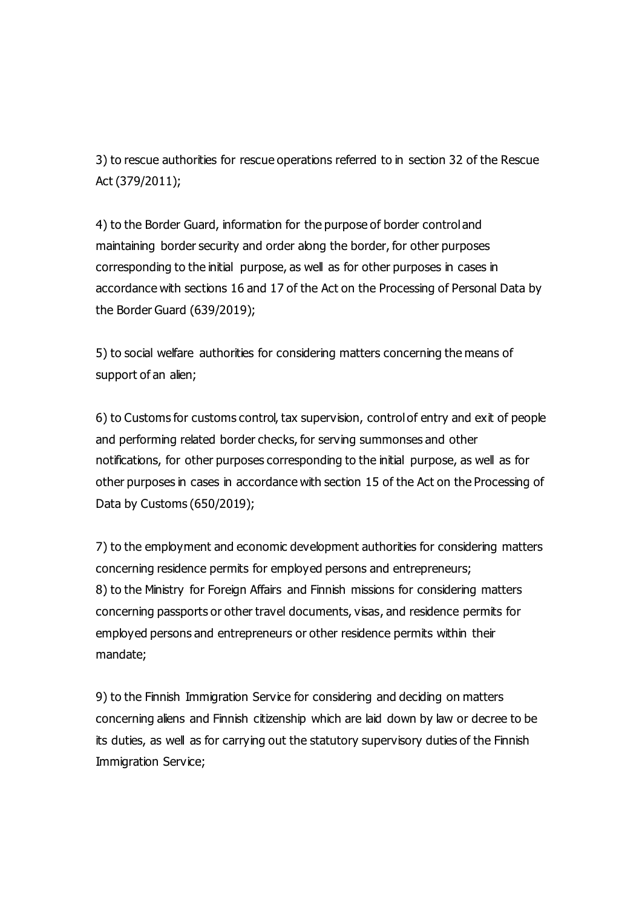3) to rescue authorities for rescue operations referred to in section 32 of the Rescue Act (379/2011);

4) to the Border Guard, information for the purpose of border control and maintaining border security and order along the border, for other purposes corresponding to the initial purpose, as well as for other purposes in cases in accordance with sections 16 and 17 of the Act on the Processing of Personal Data by the Border Guard (639/2019);

5) to social welfare authorities for considering matters concerning the means of support of an alien;

6) to Customs for customs control, tax supervision, control of entry and exit of people and performing related border checks, for serving summonses and other notifications, for other purposes corresponding to the initial purpose, as well as for other purposes in cases in accordance with section 15 of the Act on the Processing of Data by Customs (650/2019);

7) to the employment and economic development authorities for considering matters concerning residence permits for employed persons and entrepreneurs; 8) to the Ministry for Foreign Affairs and Finnish missions for considering matters concerning passports or other travel documents, visas, and residence permits for employed persons and entrepreneurs or other residence permits within their mandate;

9) to the Finnish Immigration Service for considering and deciding on matters concerning aliens and Finnish citizenship which are laid down by law or decree to be its duties, as well as for carrying out the statutory supervisory duties of the Finnish Immigration Service;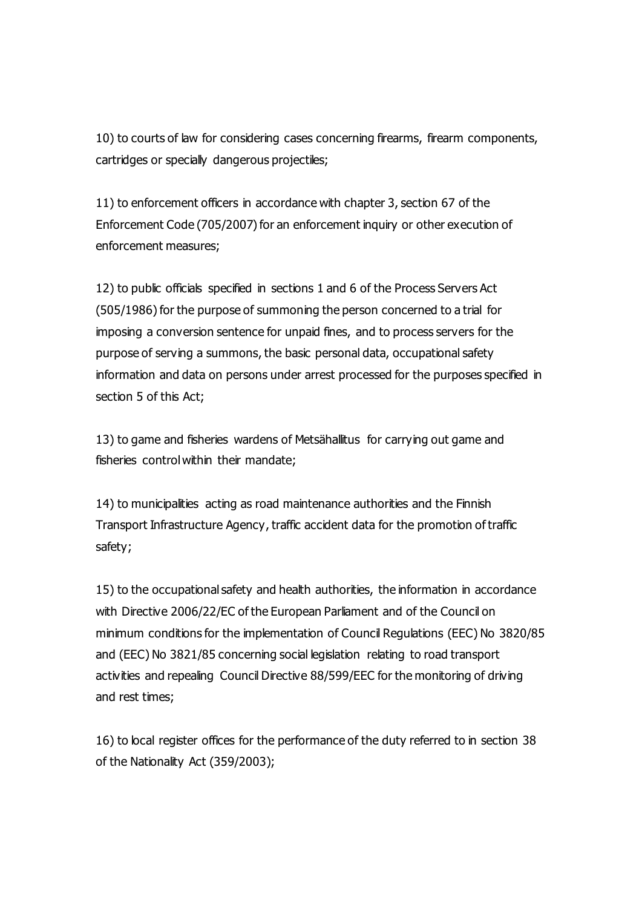10) to courts of law for considering cases concerning firearms, firearm components, cartridges or specially dangerous projectiles;

11) to enforcement officers in accordance with chapter 3, section 67 of the Enforcement Code (705/2007) for an enforcement inquiry or other execution of enforcement measures;

12) to public officials specified in sections 1 and 6 of the Process Servers Act (505/1986) for the purpose of summoning the person concerned to a trial for imposing a conversion sentence for unpaid fines, and to process servers for the purpose of serving a summons, the basic personal data, occupational safety information and data on persons under arrest processed for the purposes specified in section 5 of this Act;

13) to game and fisheries wardens of Metsähallitus for carrying out game and fisheries control within their mandate;

14) to municipalities acting as road maintenance authorities and the Finnish Transport Infrastructure Agency, traffic accident data for the promotion of traffic safety;

15) to the occupational safety and health authorities, the information in accordance with Directive 2006/22/EC of the European Parliament and of the Council on minimum conditions for the implementation of Council Regulations (EEC) No 3820/85 and (EEC) No 3821/85 concerning social legislation relating to road transport activities and repealing Council Directive 88/599/EEC for the monitoring of driving and rest times;

16) to local register offices for the performance of the duty referred to in section 38 of the Nationality Act (359/2003);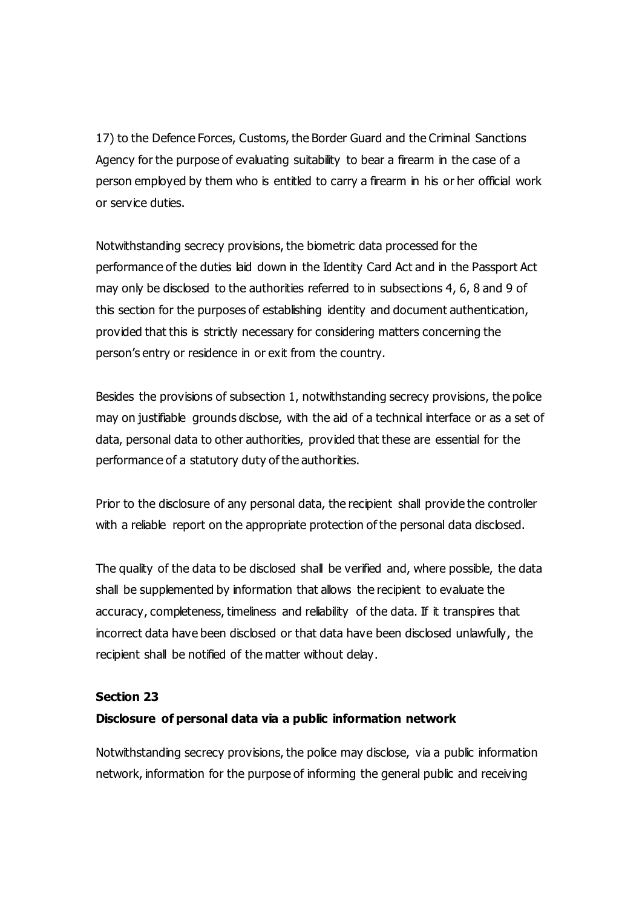17) to the Defence Forces, Customs, the Border Guard and the Criminal Sanctions Agency for the purpose of evaluating suitability to bear a firearm in the case of a person employed by them who is entitled to carry a firearm in his or her official work or service duties.

Notwithstanding secrecy provisions, the biometric data processed for the performance of the duties laid down in the Identity Card Act and in the Passport Act may only be disclosed to the authorities referred to in subsections 4, 6, 8 and 9 of this section for the purposes of establishing identity and document authentication, provided that this is strictly necessary for considering matters concerning the person's entry or residence in or exit from the country.

Besides the provisions of subsection 1, notwithstanding secrecy provisions, the police may on justifiable grounds disclose, with the aid of a technical interface or as a set of data, personal data to other authorities, provided that these are essential for the performance of a statutory duty of the authorities.

Prior to the disclosure of any personal data, the recipient shall provide the controller with a reliable report on the appropriate protection of the personal data disclosed.

The quality of the data to be disclosed shall be verified and, where possible, the data shall be supplemented by information that allows the recipient to evaluate the accuracy, completeness, timeliness and reliability of the data. If it transpires that incorrect data have been disclosed or that data have been disclosed unlawfully, the recipient shall be notified of the matter without delay.

#### **Section 23**

#### **Disclosure of personal data via a public information network**

Notwithstanding secrecy provisions, the police may disclose, via a public information network, information for the purpose of informing the general public and receiving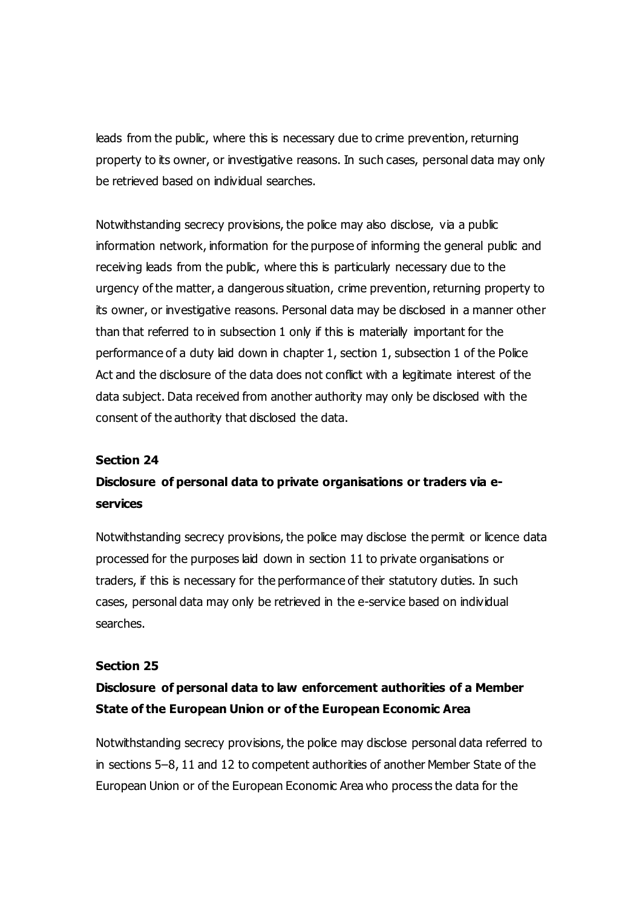leads from the public, where this is necessary due to crime prevention, returning property to its owner, or investigative reasons. In such cases, personal data may only be retrieved based on individual searches.

Notwithstanding secrecy provisions, the police may also disclose, via a public information network, information for the purpose of informing the general public and receiving leads from the public, where this is particularly necessary due to the urgency of the matter, a dangerous situation, crime prevention, returning property to its owner, or investigative reasons. Personal data may be disclosed in a manner other than that referred to in subsection 1 only if this is materially important for the performance of a duty laid down in chapter 1, section 1, subsection 1 of the Police Act and the disclosure of the data does not conflict with a legitimate interest of the data subject. Data received from another authority may only be disclosed with the consent of the authority that disclosed the data.

#### **Section 24**

# **Disclosure of personal data to private organisations or traders via eservices**

Notwithstanding secrecy provisions, the police may disclose the permit or licence data processed for the purposes laid down in section 11 to private organisations or traders, if this is necessary for the performance of their statutory duties. In such cases, personal data may only be retrieved in the e-service based on individual searches.

#### **Section 25**

# **Disclosure of personal data to law enforcement authorities of a Member State of the European Union or of the European Economic Area**

Notwithstanding secrecy provisions, the police may disclose personal data referred to in sections 5–8, 11 and 12 to competent authorities of another Member State of the European Union or of the European Economic Area who process the data for the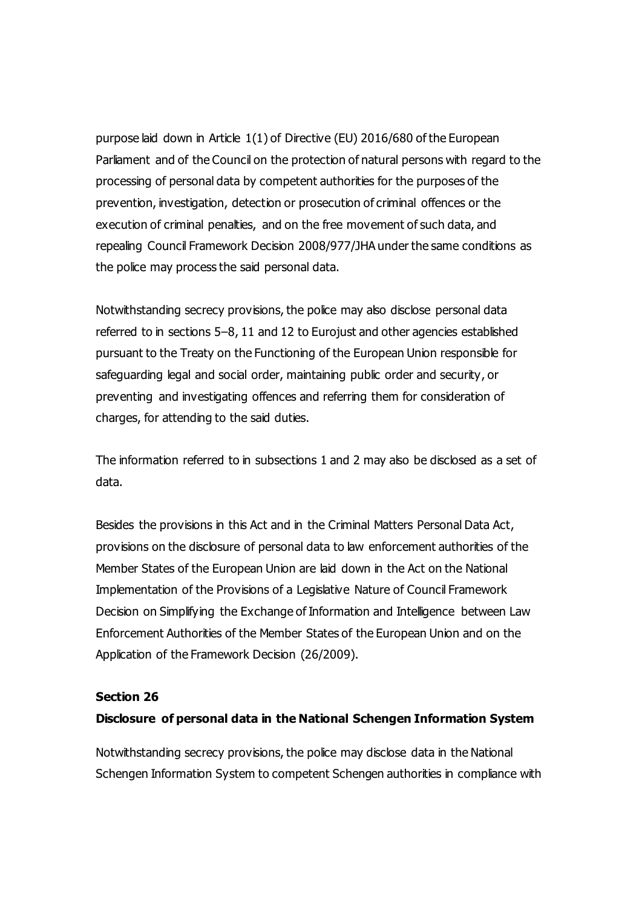purpose laid down in Article 1(1) of Directive (EU) 2016/680 of the European Parliament and of the Council on the protection of natural persons with regard to the processing of personal data by competent authorities for the purposes of the prevention, investigation, detection or prosecution of criminal offences or the execution of criminal penalties, and on the free movement of such data, and repealing Council Framework Decision 2008/977/JHA under the same conditions as the police may process the said personal data.

Notwithstanding secrecy provisions, the police may also disclose personal data referred to in sections 5–8, 11 and 12 to Eurojust and other agencies established pursuant to the Treaty on the Functioning of the European Union responsible for safeguarding legal and social order, maintaining public order and security, or preventing and investigating offences and referring them for consideration of charges, for attending to the said duties.

The information referred to in subsections 1 and 2 may also be disclosed as a set of data.

Besides the provisions in this Act and in the Criminal Matters Personal Data Act, provisions on the disclosure of personal data to law enforcement authorities of the Member States of the European Union are laid down in the Act on the National Implementation of the Provisions of a Legislative Nature of Council Framework Decision on Simplifying the Exchange of Information and Intelligence between Law Enforcement Authorities of the Member States of the European Union and on the Application of the Framework Decision (26/2009).

#### **Section 26**

#### **Disclosure of personal data in the National Schengen Information System**

Notwithstanding secrecy provisions, the police may disclose data in the National Schengen Information System to competent Schengen authorities in compliance with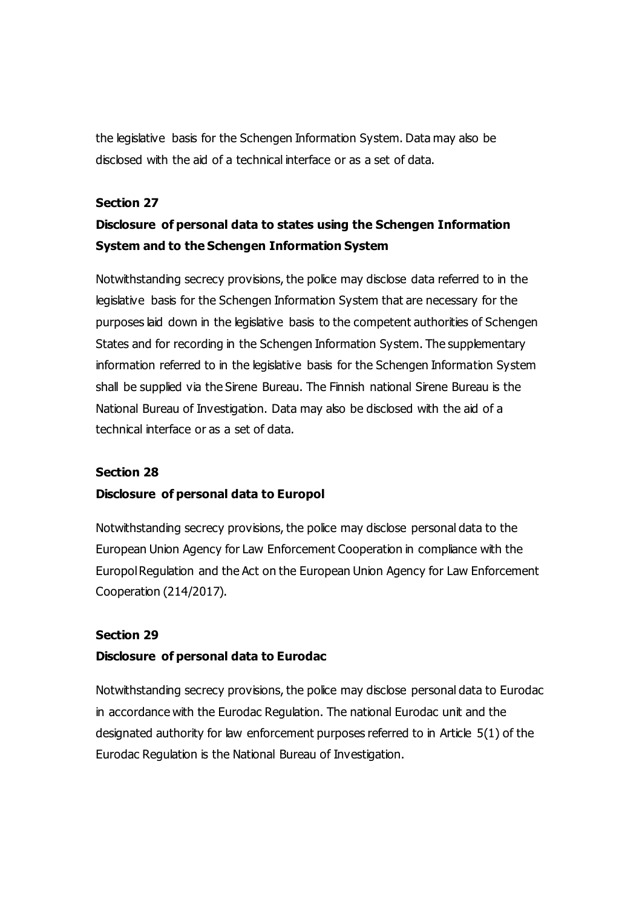the legislative basis for the Schengen Information System. Data may also be disclosed with the aid of a technical interface or as a set of data.

#### **Section 27**

# **Disclosure of personal data to states using the Schengen Information System and to the Schengen Information System**

Notwithstanding secrecy provisions, the police may disclose data referred to in the legislative basis for the Schengen Information System that are necessary for the purposes laid down in the legislative basis to the competent authorities of Schengen States and for recording in the Schengen Information System. The supplementary information referred to in the legislative basis for the Schengen Information System shall be supplied via the Sirene Bureau. The Finnish national Sirene Bureau is the National Bureau of Investigation. Data may also be disclosed with the aid of a technical interface or as a set of data.

#### **Section 28**

#### **Disclosure of personal data to Europol**

Notwithstanding secrecy provisions, the police may disclose personal data to the European Union Agency for Law Enforcement Cooperation in compliance with the Europol Regulation and the Act on the European Union Agency for Law Enforcement Cooperation (214/2017).

#### **Section 29**

#### **Disclosure of personal data to Eurodac**

Notwithstanding secrecy provisions, the police may disclose personal data to Eurodac in accordance with the Eurodac Regulation. The national Eurodac unit and the designated authority for law enforcement purposes referred to in Article 5(1) of the Eurodac Regulation is the National Bureau of Investigation.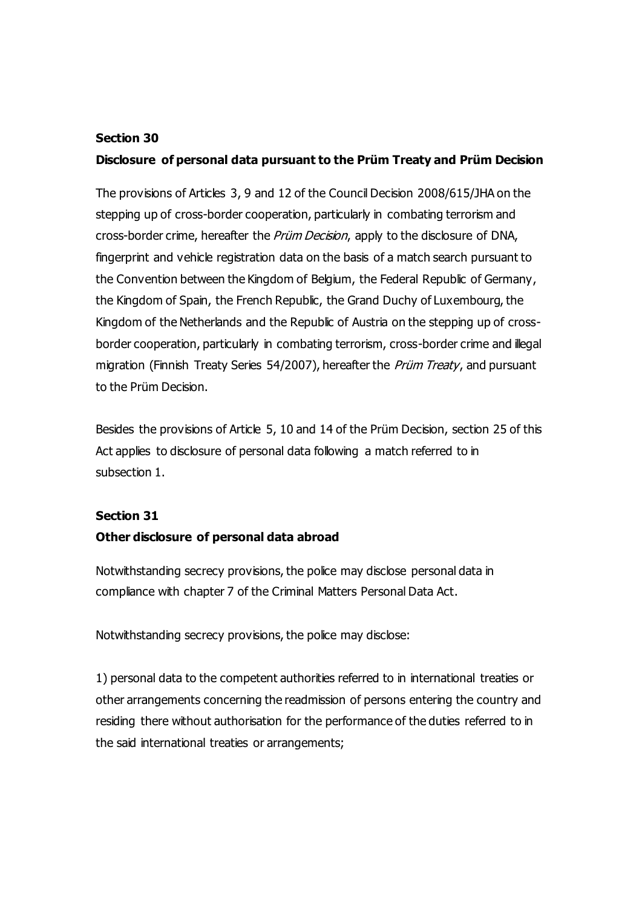#### **Section 30**

## **Disclosure of personal data pursuant to the Prüm Treaty and Prüm Decision**

The provisions of Articles 3, 9 and 12 of the Council Decision 2008/615/JHA on the stepping up of cross-border cooperation, particularly in combating terrorism and cross-border crime, hereafter the Prüm Decision, apply to the disclosure of DNA, fingerprint and vehicle registration data on the basis of a match search pursuant to the Convention between the Kingdom of Belgium, the Federal Republic of Germany, the Kingdom of Spain, the French Republic, the Grand Duchy of Luxembourg, the Kingdom of the Netherlands and the Republic of Austria on the stepping up of crossborder cooperation, particularly in combating terrorism, cross-border crime and illegal migration (Finnish Treaty Series 54/2007), hereafter the *Prüm Treaty*, and pursuant to the Prüm Decision.

Besides the provisions of Article 5, 10 and 14 of the Prüm Decision, section 25 of this Act applies to disclosure of personal data following a match referred to in subsection 1.

### **Section 31**

### **Other disclosure of personal data abroad**

Notwithstanding secrecy provisions, the police may disclose personal data in compliance with chapter 7 of the Criminal Matters Personal Data Act.

Notwithstanding secrecy provisions, the police may disclose:

1) personal data to the competent authorities referred to in international treaties or other arrangements concerning the readmission of persons entering the country and residing there without authorisation for the performance of the duties referred to in the said international treaties or arrangements;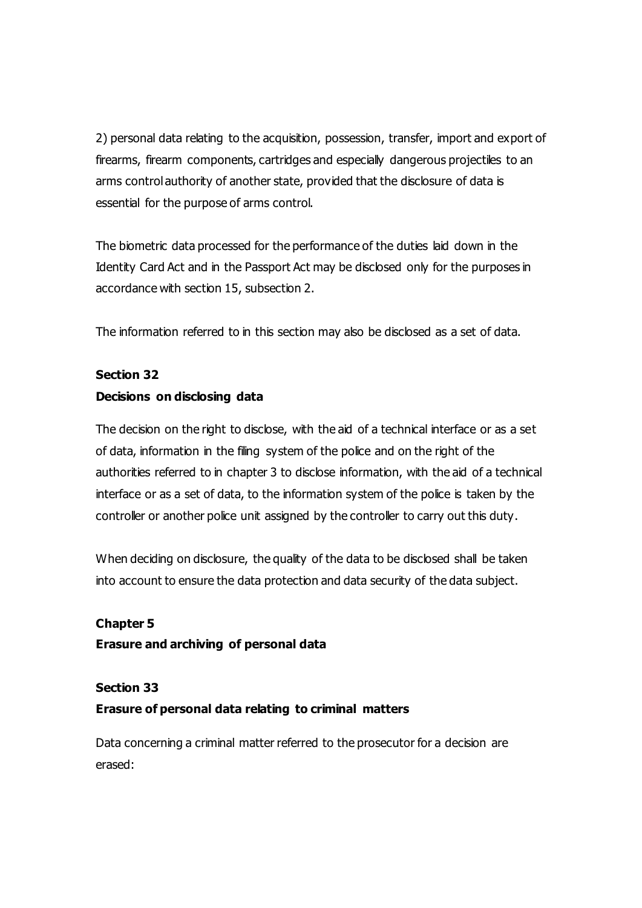2) personal data relating to the acquisition, possession, transfer, import and export of firearms, firearm components, cartridges and especially dangerous projectiles to an arms control authority of another state, provided that the disclosure of data is essential for the purpose of arms control.

The biometric data processed for the performance of the duties laid down in the Identity Card Act and in the Passport Act may be disclosed only for the purposes in accordance with section 15, subsection 2.

The information referred to in this section may also be disclosed as a set of data.

# **Section 32 Decisions on disclosing data**

The decision on the right to disclose, with the aid of a technical interface or as a set of data, information in the filing system of the police and on the right of the authorities referred to in chapter 3 to disclose information, with the aid of a technical interface or as a set of data, to the information system of the police is taken by the controller or another police unit assigned by the controller to carry out this duty.

When deciding on disclosure, the quality of the data to be disclosed shall be taken into account to ensure the data protection and data security of the data subject.

## **Chapter 5**

**Erasure and archiving of personal data**

### **Section 33**

## **Erasure of personal data relating to criminal matters**

Data concerning a criminal matter referred to the prosecutor for a decision are erased: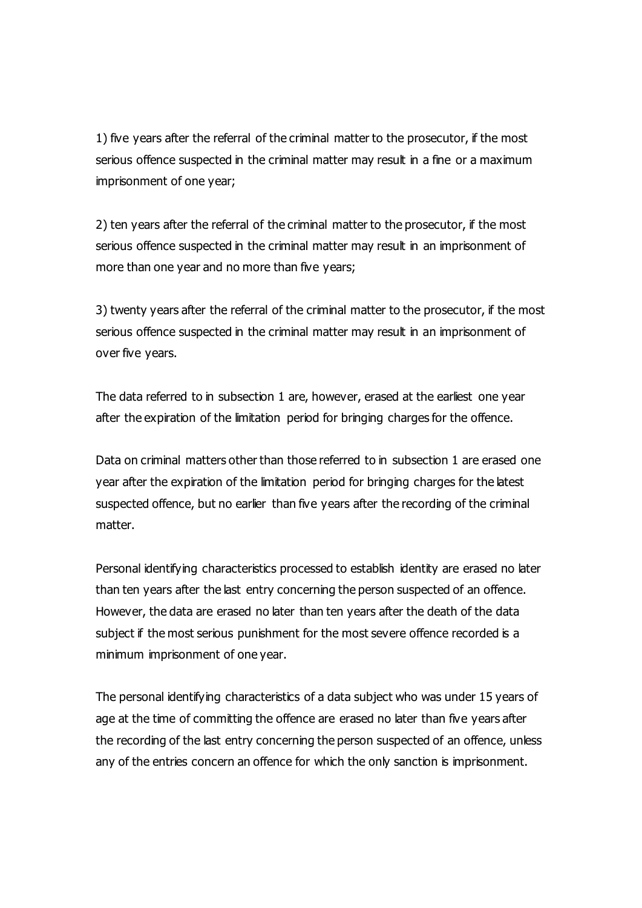1) five years after the referral of the criminal matter to the prosecutor, if the most serious offence suspected in the criminal matter may result in a fine or a maximum imprisonment of one year;

2) ten years after the referral of the criminal matter to the prosecutor, if the most serious offence suspected in the criminal matter may result in an imprisonment of more than one year and no more than five years;

3) twenty years after the referral of the criminal matter to the prosecutor, if the most serious offence suspected in the criminal matter may result in an imprisonment of over five years.

The data referred to in subsection 1 are, however, erased at the earliest one year after the expiration of the limitation period for bringing charges for the offence.

Data on criminal matters other than those referred to in subsection 1 are erased one year after the expiration of the limitation period for bringing charges for the latest suspected offence, but no earlier than five years after the recording of the criminal matter.

Personal identifying characteristics processed to establish identity are erased no later than ten years after the last entry concerning the person suspected of an offence. However, the data are erased no later than ten years after the death of the data subject if the most serious punishment for the most severe offence recorded is a minimum imprisonment of one year.

The personal identifying characteristics of a data subject who was under 15 years of age at the time of committing the offence are erased no later than five years after the recording of the last entry concerning the person suspected of an offence, unless any of the entries concern an offence for which the only sanction is imprisonment.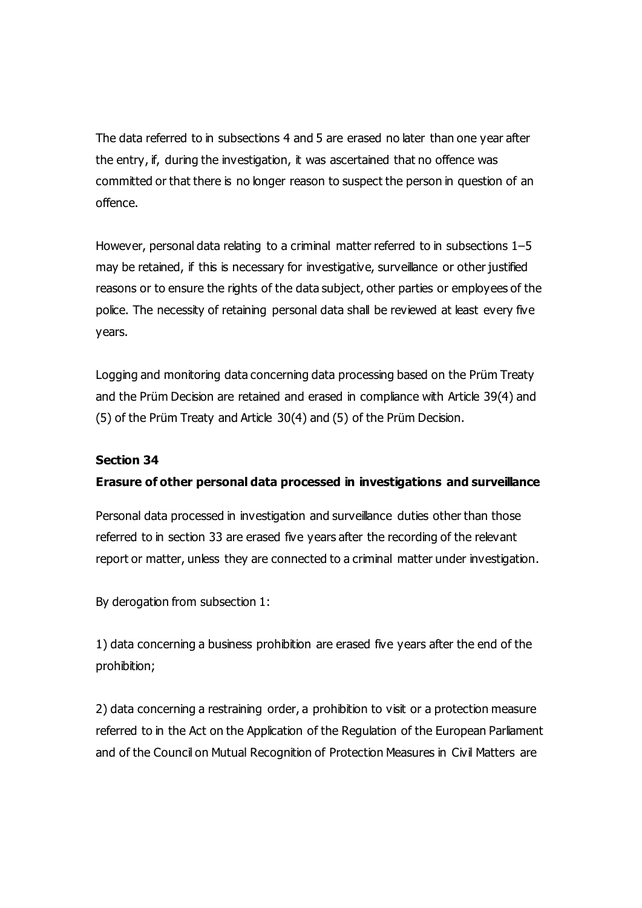The data referred to in subsections 4 and 5 are erased no later than one year after the entry, if, during the investigation, it was ascertained that no offence was committed or that there is no longer reason to suspect the person in question of an offence.

However, personal data relating to a criminal matter referred to in subsections 1–5 may be retained, if this is necessary for investigative, surveillance or other justified reasons or to ensure the rights of the data subject, other parties or employees of the police. The necessity of retaining personal data shall be reviewed at least every five years.

Logging and monitoring data concerning data processing based on the Prüm Treaty and the Prüm Decision are retained and erased in compliance with Article 39(4) and (5) of the Prüm Treaty and Article 30(4) and (5) of the Prüm Decision.

#### **Section 34**

### **Erasure of other personal data processed in investigations and surveillance**

Personal data processed in investigation and surveillance duties other than those referred to in section 33 are erased five years after the recording of the relevant report or matter, unless they are connected to a criminal matter under investigation.

By derogation from subsection 1:

1) data concerning a business prohibition are erased five years after the end of the prohibition;

2) data concerning a restraining order, a prohibition to visit or a protection measure referred to in the Act on the Application of the Regulation of the European Parliament and of the Council on Mutual Recognition of Protection Measures in Civil Matters are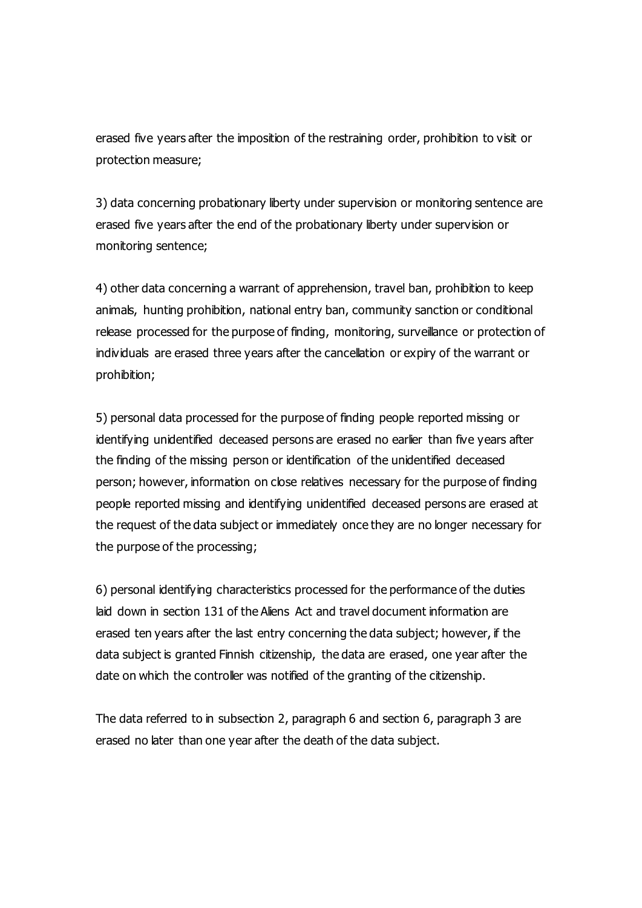erased five years after the imposition of the restraining order, prohibition to visit or protection measure;

3) data concerning probationary liberty under supervision or monitoring sentence are erased five years after the end of the probationary liberty under supervision or monitoring sentence;

4) other data concerning a warrant of apprehension, travel ban, prohibition to keep animals, hunting prohibition, national entry ban, community sanction or conditional release processed for the purpose of finding, monitoring, surveillance or protection of individuals are erased three years after the cancellation or expiry of the warrant or prohibition;

5) personal data processed for the purpose of finding people reported missing or identifying unidentified deceased persons are erased no earlier than five years after the finding of the missing person or identification of the unidentified deceased person; however, information on close relatives necessary for the purpose of finding people reported missing and identifying unidentified deceased persons are erased at the request of the data subject or immediately once they are no longer necessary for the purpose of the processing;

6) personal identifying characteristics processed for the performance of the duties laid down in section 131 of the Aliens Act and travel document information are erased ten years after the last entry concerning the data subject; however, if the data subject is granted Finnish citizenship, the data are erased, one year after the date on which the controller was notified of the granting of the citizenship.

The data referred to in subsection 2, paragraph 6 and section 6, paragraph 3 are erased no later than one year after the death of the data subject.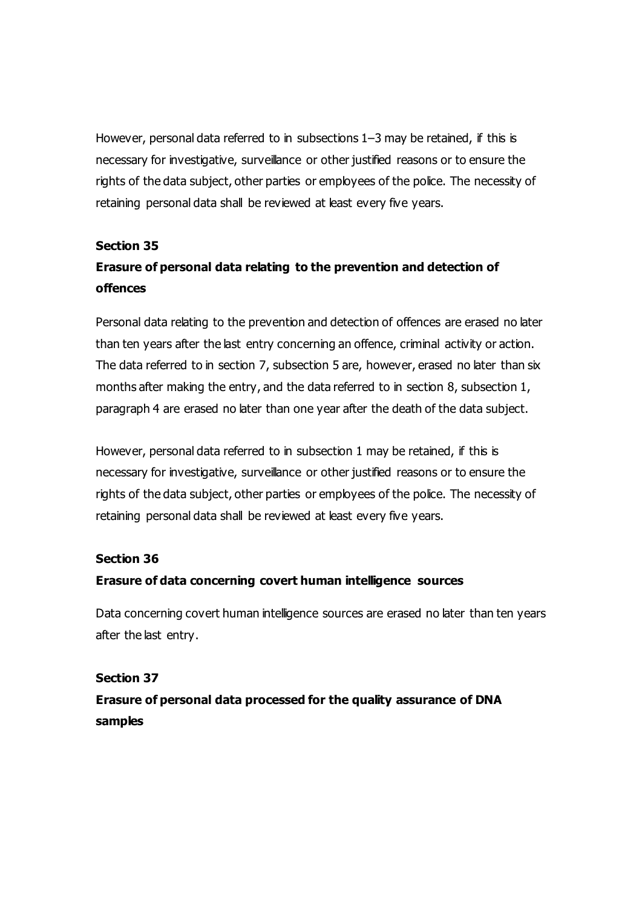However, personal data referred to in subsections 1–3 may be retained, if this is necessary for investigative, surveillance or other justified reasons or to ensure the rights of the data subject, other parties or employees of the police. The necessity of retaining personal data shall be reviewed at least every five years.

#### **Section 35**

# **Erasure of personal data relating to the prevention and detection of offences**

Personal data relating to the prevention and detection of offences are erased no later than ten years after the last entry concerning an offence, criminal activity or action. The data referred to in section 7, subsection 5 are, however, erased no later than six months after making the entry, and the data referred to in section 8, subsection 1, paragraph 4 are erased no later than one year after the death of the data subject.

However, personal data referred to in subsection 1 may be retained, if this is necessary for investigative, surveillance or other justified reasons or to ensure the rights of the data subject, other parties or employees of the police. The necessity of retaining personal data shall be reviewed at least every five years.

#### **Section 36**

### **Erasure of data concerning covert human intelligence sources**

Data concerning covert human intelligence sources are erased no later than ten years after the last entry.

### **Section 37**

# **Erasure of personal data processed for the quality assurance of DNA samples**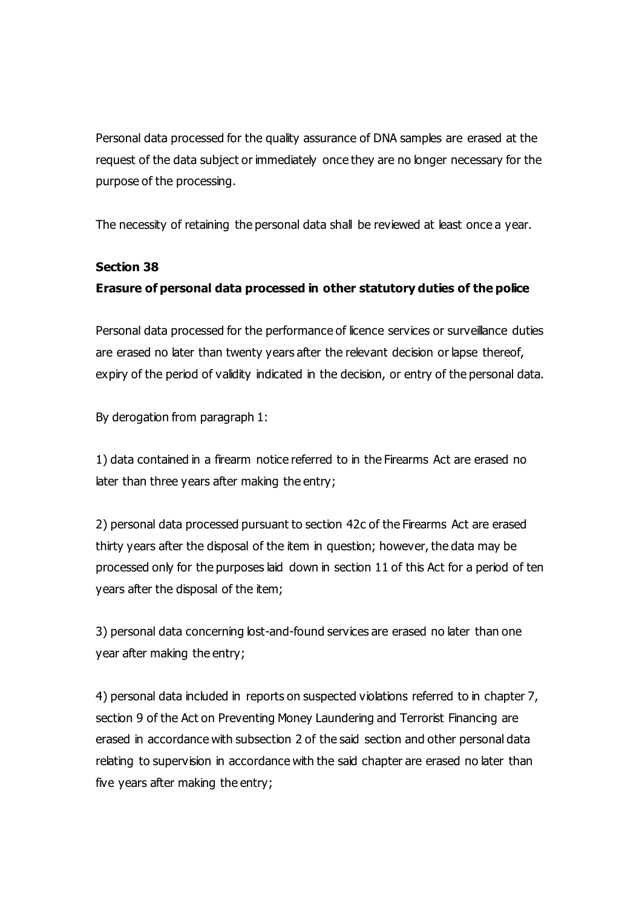Personal data processed for the quality assurance of DNA samples are erased at the request of the data subject or immediately once they are no longer necessary for the purpose of the processing.

The necessity of retaining the personal data shall be reviewed at least once a year.

### **Section 38**

## **Erasure of personal data processed in other statutory duties of the police**

Personal data processed for the performance of licence services or surveillance duties are erased no later than twenty years after the relevant decision or lapse thereof, expiry of the period of validity indicated in the decision, or entry of the personal data.

By derogation from paragraph 1:

1) data contained in a firearm notice referred to in the Firearms Act are erased no later than three years after making the entry;

2) personal data processed pursuant to section 42c of the Firearms Act are erased thirty years after the disposal of the item in question; however, the data may be processed only for the purposes laid down in section 11 of this Act for a period of ten years after the disposal of the item;

3) personal data concerning lost-and-found services are erased no later than one year after making the entry;

4) personal data included in reports on suspected violations referred to in chapter 7, section 9 of the Act on Preventing Money Laundering and Terrorist Financing are erased in accordance with subsection 2 of the said section and other personal data relating to supervision in accordance with the said chapter are erased no later than five years after making the entry;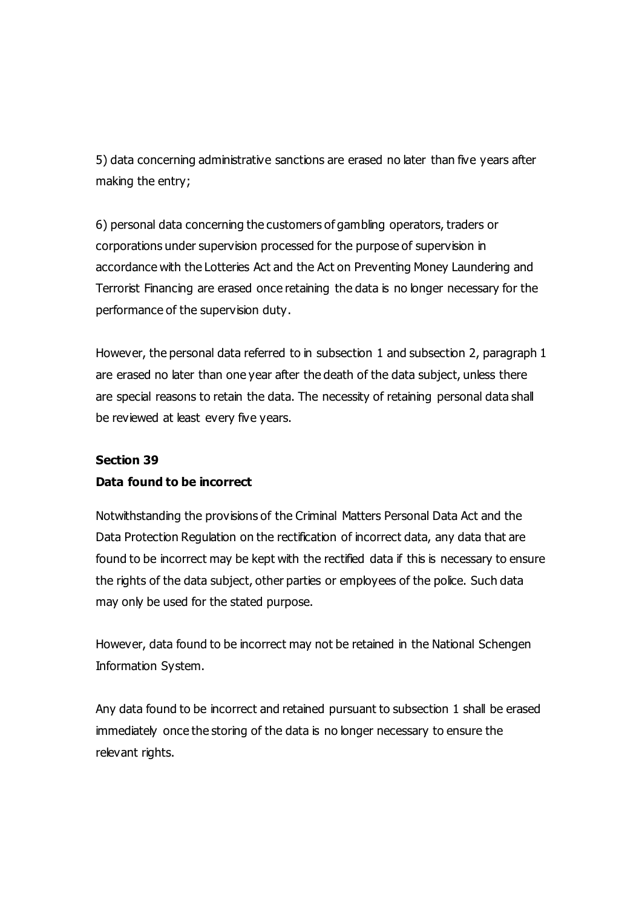5) data concerning administrative sanctions are erased no later than five years after making the entry;

6) personal data concerning the customers of gambling operators, traders or corporations under supervision processed for the purpose of supervision in accordance with the Lotteries Act and the Act on Preventing Money Laundering and Terrorist Financing are erased once retaining the data is no longer necessary for the performance of the supervision duty.

However, the personal data referred to in subsection 1 and subsection 2, paragraph 1 are erased no later than one year after the death of the data subject, unless there are special reasons to retain the data. The necessity of retaining personal data shall be reviewed at least every five years.

#### **Section 39**

### **Data found to be incorrect**

Notwithstanding the provisions of the Criminal Matters Personal Data Act and the Data Protection Regulation on the rectification of incorrect data, any data that are found to be incorrect may be kept with the rectified data if this is necessary to ensure the rights of the data subject, other parties or employees of the police. Such data may only be used for the stated purpose.

However, data found to be incorrect may not be retained in the National Schengen Information System.

Any data found to be incorrect and retained pursuant to subsection 1 shall be erased immediately once the storing of the data is no longer necessary to ensure the relevant rights.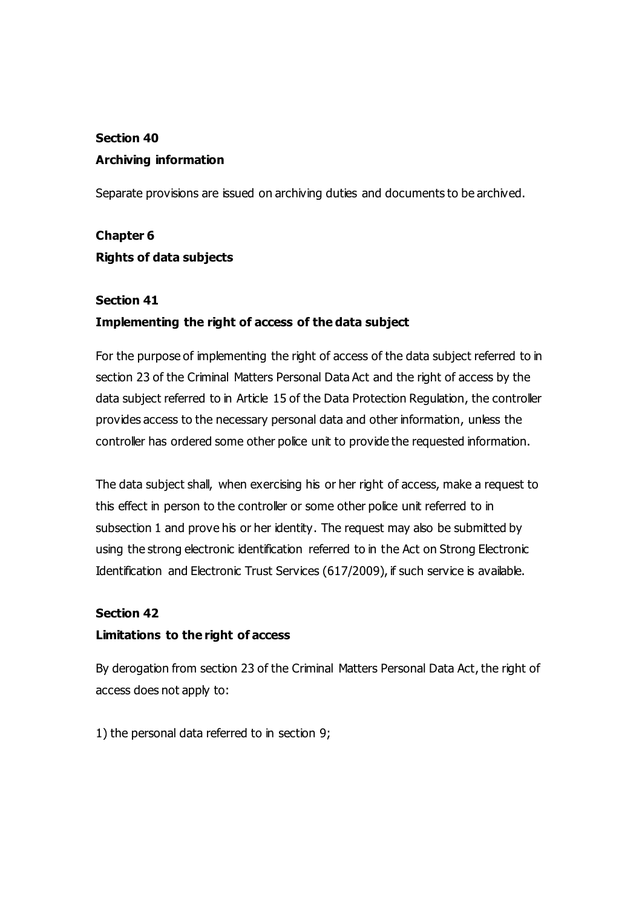# **Section 40 Archiving information**

Separate provisions are issued on archiving duties and documents to be archived.

# **Chapter 6 Rights of data subjects**

## **Section 41**

## **Implementing the right of access of the data subject**

For the purpose of implementing the right of access of the data subject referred to in section 23 of the Criminal Matters Personal Data Act and the right of access by the data subject referred to in Article 15 of the Data Protection Regulation, the controller provides access to the necessary personal data and other information, unless the controller has ordered some other police unit to provide the requested information.

The data subject shall, when exercising his or her right of access, make a request to this effect in person to the controller or some other police unit referred to in subsection 1 and prove his or her identity. The request may also be submitted by using the strong electronic identification referred to in the Act on Strong Electronic Identification and Electronic Trust Services (617/2009), if such service is available.

## **Section 42**

## **Limitations to the right of access**

By derogation from section 23 of the Criminal Matters Personal Data Act, the right of access does not apply to:

1) the personal data referred to in section 9;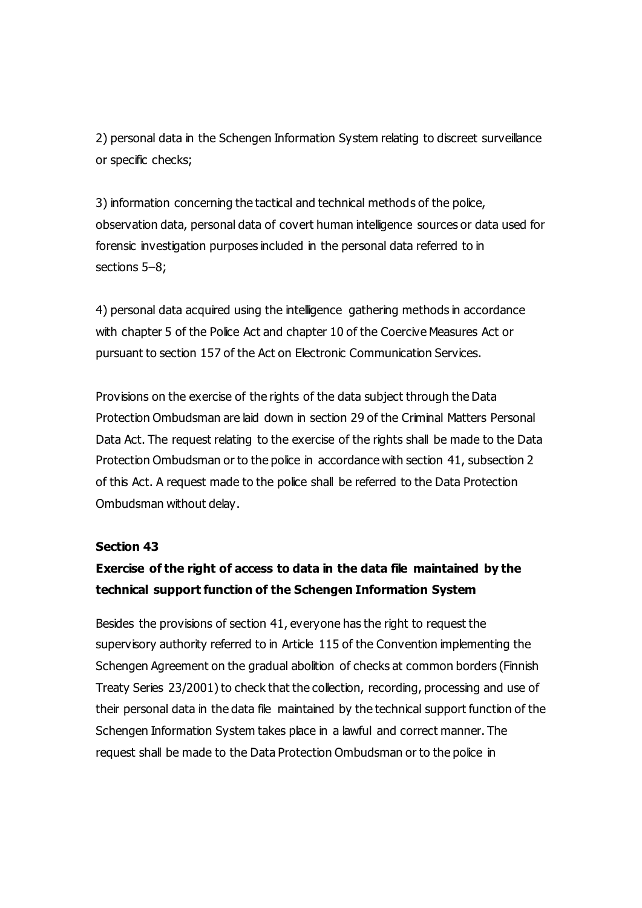2) personal data in the Schengen Information System relating to discreet surveillance or specific checks;

3) information concerning the tactical and technical methods of the police, observation data, personal data of covert human intelligence sources or data used for forensic investigation purposes included in the personal data referred to in sections 5–8;

4) personal data acquired using the intelligence gathering methods in accordance with chapter 5 of the Police Act and chapter 10 of the Coercive Measures Act or pursuant to section 157 of the Act on Electronic Communication Services.

Provisions on the exercise of the rights of the data subject through the Data Protection Ombudsman are laid down in section 29 of the Criminal Matters Personal Data Act. The request relating to the exercise of the rights shall be made to the Data Protection Ombudsman or to the police in accordance with section 41, subsection 2 of this Act. A request made to the police shall be referred to the Data Protection Ombudsman without delay.

#### **Section 43**

## **Exercise of the right of access to data in the data file maintained by the technical support function of the Schengen Information System**

Besides the provisions of section 41, everyone has the right to request the supervisory authority referred to in Article 115 of the Convention implementing the Schengen Agreement on the gradual abolition of checks at common borders (Finnish Treaty Series 23/2001) to check that the collection, recording, processing and use of their personal data in the data file maintained by the technical support function of the Schengen Information System takes place in a lawful and correct manner. The request shall be made to the Data Protection Ombudsman or to the police in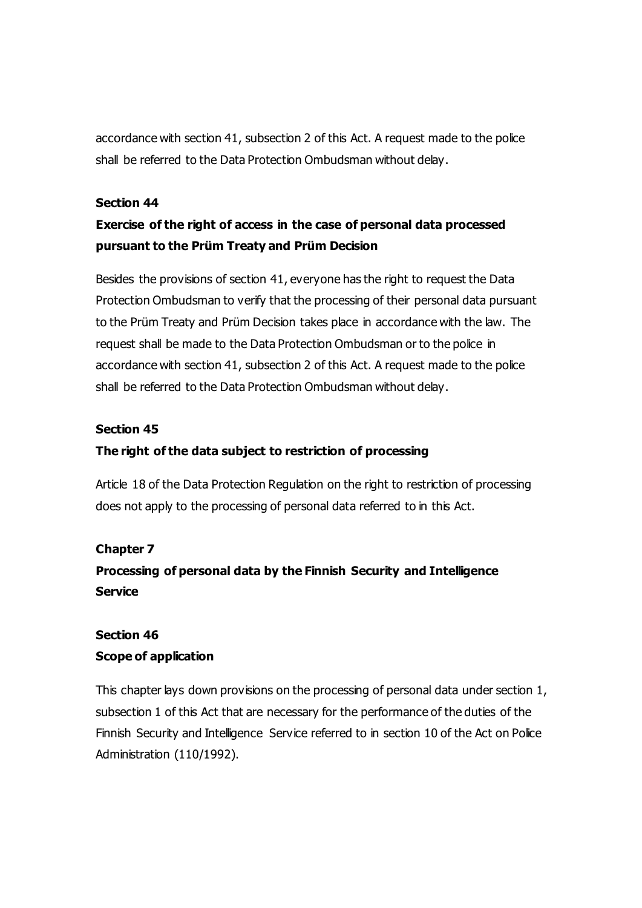accordance with section 41, subsection 2 of this Act. A request made to the police shall be referred to the Data Protection Ombudsman without delay.

#### **Section 44**

# **Exercise of the right of access in the case of personal data processed pursuant to the Prüm Treaty and Prüm Decision**

Besides the provisions of section 41, everyone has the right to request the Data Protection Ombudsman to verify that the processing of their personal data pursuant to the Prüm Treaty and Prüm Decision takes place in accordance with the law. The request shall be made to the Data Protection Ombudsman or to the police in accordance with section 41, subsection 2 of this Act. A request made to the police shall be referred to the Data Protection Ombudsman without delay.

### **Section 45**

### **The right of the data subject to restriction of processing**

Article 18 of the Data Protection Regulation on the right to restriction of processing does not apply to the processing of personal data referred to in this Act.

### **Chapter 7**

# **Processing of personal data by the Finnish Security and Intelligence Service**

# **Section 46 Scope of application**

This chapter lays down provisions on the processing of personal data under section 1, subsection 1 of this Act that are necessary for the performance of the duties of the Finnish Security and Intelligence Service referred to in section 10 of the Act on Police Administration (110/1992).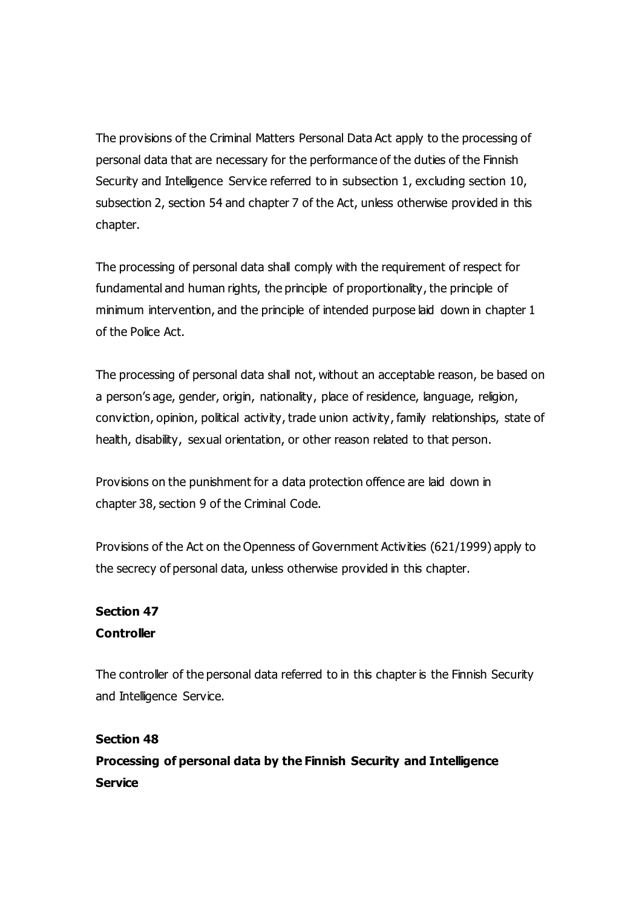The provisions of the Criminal Matters Personal Data Act apply to the processing of personal data that are necessary for the performance of the duties of the Finnish Security and Intelligence Service referred to in subsection 1, excluding section 10, subsection 2, section 54 and chapter 7 of the Act, unless otherwise provided in this chapter.

The processing of personal data shall comply with the requirement of respect for fundamental and human rights, the principle of proportionality, the principle of minimum intervention, and the principle of intended purpose laid down in chapter 1 of the Police Act.

The processing of personal data shall not, without an acceptable reason, be based on a person's age, gender, origin, nationality, place of residence, language, religion, conviction, opinion, political activity, trade union activity, family relationships, state of health, disability, sexual orientation, or other reason related to that person.

Provisions on the punishment for a data protection offence are laid down in chapter 38, section 9 of the Criminal Code.

Provisions of the Act on the Openness of Government Activities (621/1999) apply to the secrecy of personal data, unless otherwise provided in this chapter.

## **Section 47 Controller**

The controller of the personal data referred to in this chapter is the Finnish Security and Intelligence Service.

## **Section 48**

**Processing of personal data by the Finnish Security and Intelligence Service**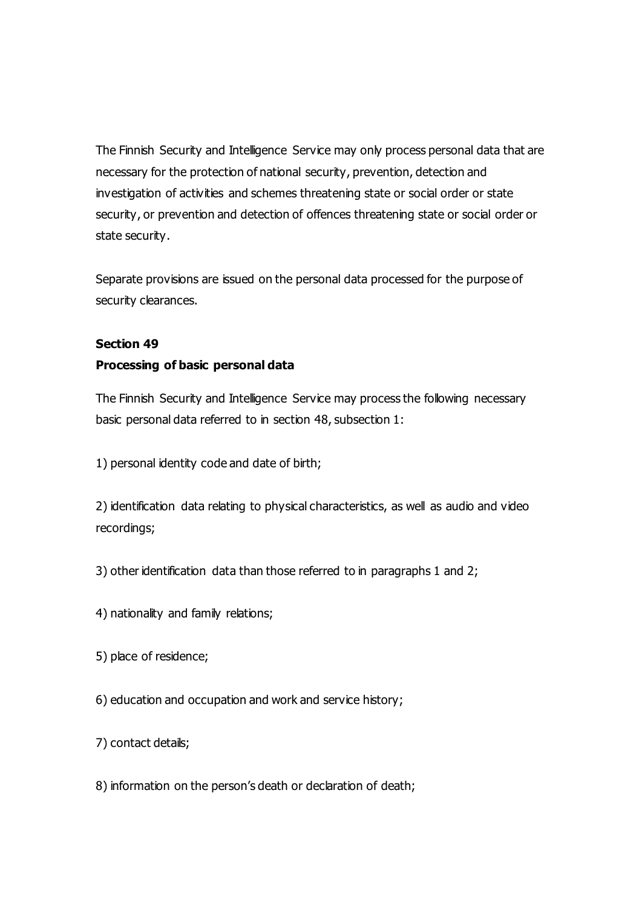The Finnish Security and Intelligence Service may only process personal data that are necessary for the protection of national security, prevention, detection and investigation of activities and schemes threatening state or social order or state security, or prevention and detection of offences threatening state or social order or state security.

Separate provisions are issued on the personal data processed for the purpose of security clearances.

### **Section 49**

### **Processing of basic personal data**

The Finnish Security and Intelligence Service may process the following necessary basic personal data referred to in section 48, subsection 1:

1) personal identity code and date of birth;

2) identification data relating to physical characteristics, as well as audio and video recordings;

3) other identification data than those referred to in paragraphs 1 and 2;

- 4) nationality and family relations;
- 5) place of residence;
- 6) education and occupation and work and service history;
- 7) contact details;
- 8) information on the person's death or declaration of death;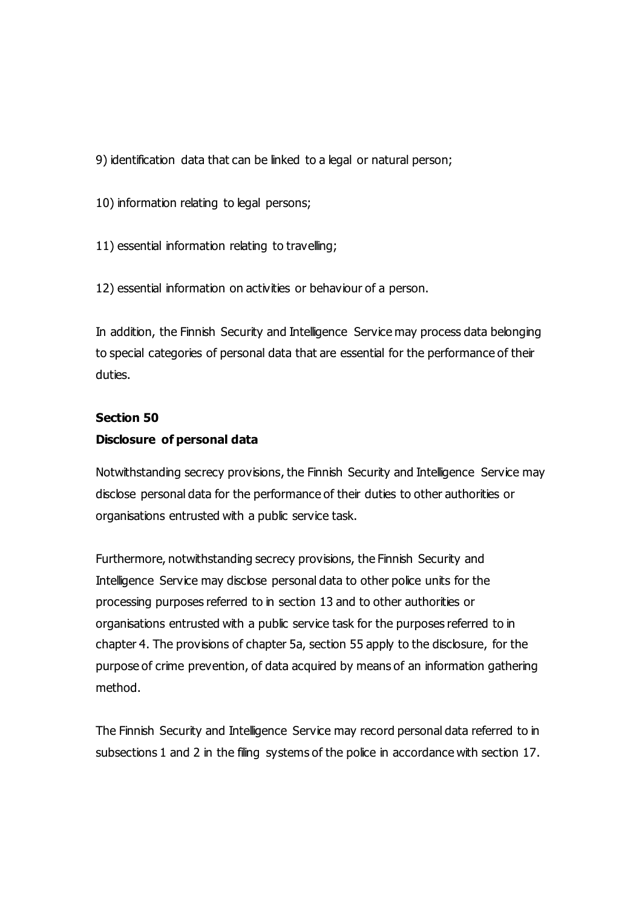9) identification data that can be linked to a legal or natural person;

10) information relating to legal persons;

11) essential information relating to travelling;

12) essential information on activities or behaviour of a person.

In addition, the Finnish Security and Intelligence Service may process data belonging to special categories of personal data that are essential for the performance of their duties.

# **Section 50 Disclosure of personal data**

Notwithstanding secrecy provisions, the Finnish Security and Intelligence Service may disclose personal data for the performance of their duties to other authorities or organisations entrusted with a public service task.

Furthermore, notwithstanding secrecy provisions, the Finnish Security and Intelligence Service may disclose personal data to other police units for the processing purposes referred to in section 13 and to other authorities or organisations entrusted with a public service task for the purposes referred to in chapter 4. The provisions of chapter 5a, section 55 apply to the disclosure, for the purpose of crime prevention, of data acquired by means of an information gathering method.

The Finnish Security and Intelligence Service may record personal data referred to in subsections 1 and 2 in the filing systems of the police in accordance with section 17.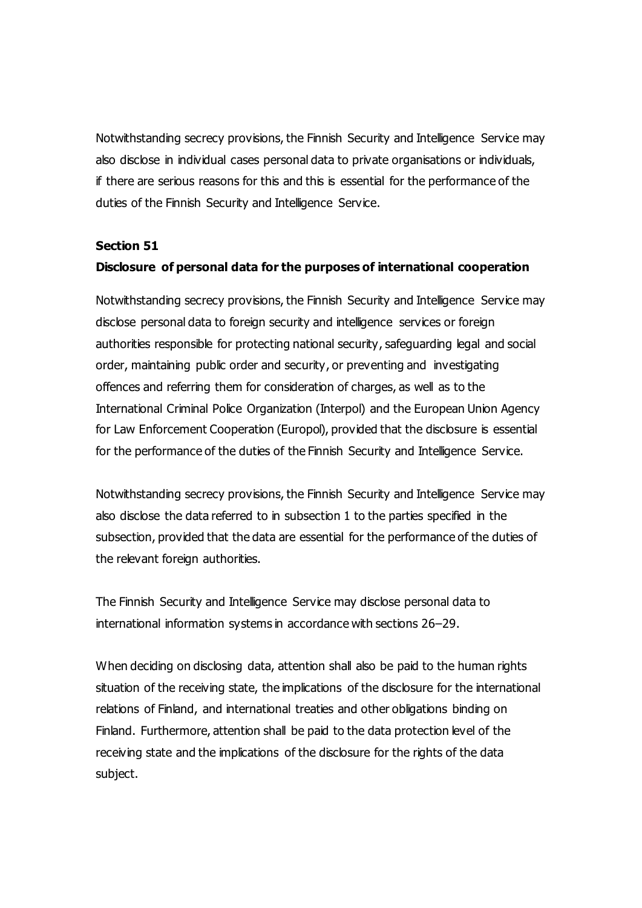Notwithstanding secrecy provisions, the Finnish Security and Intelligence Service may also disclose in individual cases personal data to private organisations or individuals, if there are serious reasons for this and this is essential for the performance of the duties of the Finnish Security and Intelligence Service.

#### **Section 51**

#### **Disclosure of personal data for the purposes of international cooperation**

Notwithstanding secrecy provisions, the Finnish Security and Intelligence Service may disclose personal data to foreign security and intelligence services or foreign authorities responsible for protecting national security, safeguarding legal and social order, maintaining public order and security, or preventing and investigating offences and referring them for consideration of charges, as well as to the International Criminal Police Organization (Interpol) and the European Union Agency for Law Enforcement Cooperation (Europol), provided that the disclosure is essential for the performance of the duties of the Finnish Security and Intelligence Service.

Notwithstanding secrecy provisions, the Finnish Security and Intelligence Service may also disclose the data referred to in subsection 1 to the parties specified in the subsection, provided that the data are essential for the performance of the duties of the relevant foreign authorities.

The Finnish Security and Intelligence Service may disclose personal data to international information systems in accordance with sections 26–29.

When deciding on disclosing data, attention shall also be paid to the human rights situation of the receiving state, the implications of the disclosure for the international relations of Finland, and international treaties and other obligations binding on Finland. Furthermore, attention shall be paid to the data protection level of the receiving state and the implications of the disclosure for the rights of the data subject.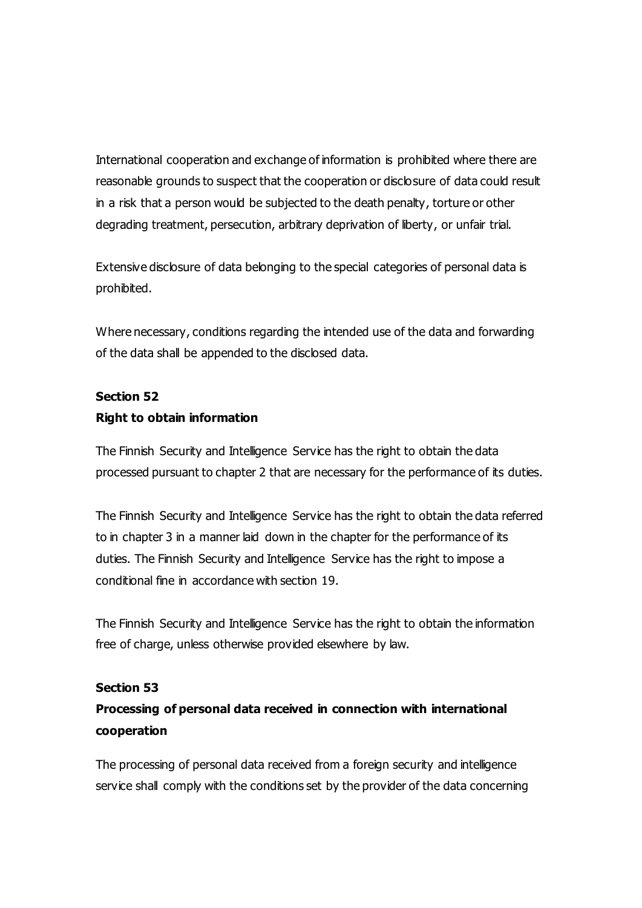International cooperation and exchange of information is prohibited where there are reasonable grounds to suspect that the cooperation or disclosure of data could result in a risk that a person would be subjected to the death penalty, torture or other degrading treatment, persecution, arbitrary deprivation of liberty, or unfair trial.

Extensive disclosure of data belonging to the special categories of personal data is prohibited.

Where necessary, conditions regarding the intended use of the data and forwarding of the data shall be appended to the disclosed data.

# **Section 52 Right to obtain information**

The Finnish Security and Intelligence Service has the right to obtain the data processed pursuant to chapter 2 that are necessary for the performance of its duties.

The Finnish Security and Intelligence Service has the right to obtain the data referred to in chapter 3 in a manner laid down in the chapter for the performance of its duties. The Finnish Security and Intelligence Service has the right to impose a conditional fine in accordance with section 19.

The Finnish Security and Intelligence Service has the right to obtain the information free of charge, unless otherwise provided elsewhere by law.

### **Section 53**

# **Processing of personal data received in connection with international cooperation**

The processing of personal data received from a foreign security and intelligence service shall comply with the conditions set by the provider of the data concerning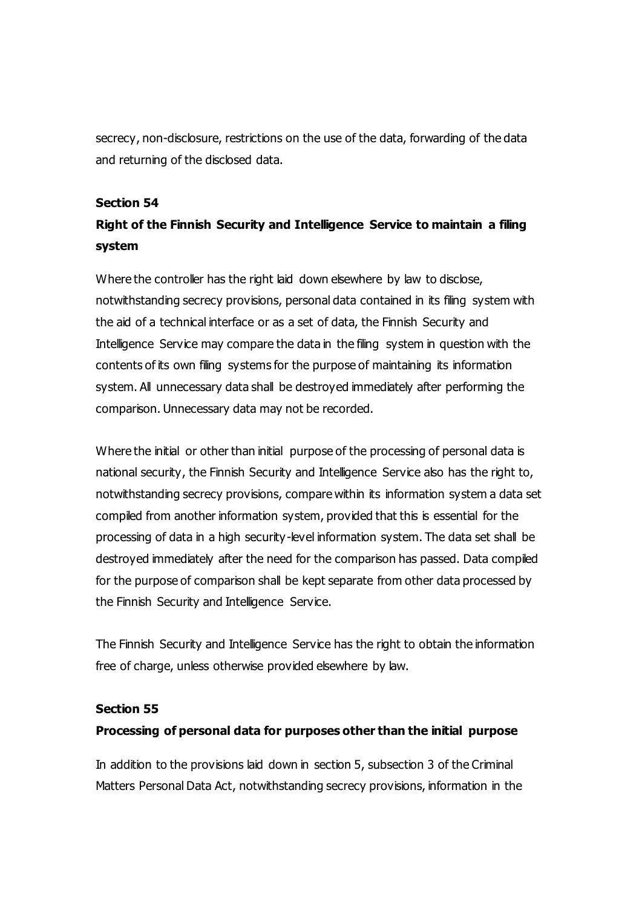secrecy, non-disclosure, restrictions on the use of the data, forwarding of the data and returning of the disclosed data.

#### **Section 54**

# **Right of the Finnish Security and Intelligence Service to maintain a filing system**

Where the controller has the right laid down elsewhere by law to disclose, notwithstanding secrecy provisions, personal data contained in its filing system with the aid of a technical interface or as a set of data, the Finnish Security and Intelligence Service may compare the data in the filing system in question with the contents of its own filing systems for the purpose of maintaining its information system. All unnecessary data shall be destroyed immediately after performing the comparison. Unnecessary data may not be recorded.

Where the initial or other than initial purpose of the processing of personal data is national security, the Finnish Security and Intelligence Service also has the right to, notwithstanding secrecy provisions, compare within its information system a data set compiled from another information system, provided that this is essential for the processing of data in a high security-level information system. The data set shall be destroyed immediately after the need for the comparison has passed. Data compiled for the purpose of comparison shall be kept separate from other data processed by the Finnish Security and Intelligence Service.

The Finnish Security and Intelligence Service has the right to obtain the information free of charge, unless otherwise provided elsewhere by law.

#### **Section 55**

### **Processing of personal data for purposes other than the initial purpose**

In addition to the provisions laid down in section 5, subsection 3 of the Criminal Matters Personal Data Act, notwithstanding secrecy provisions, information in the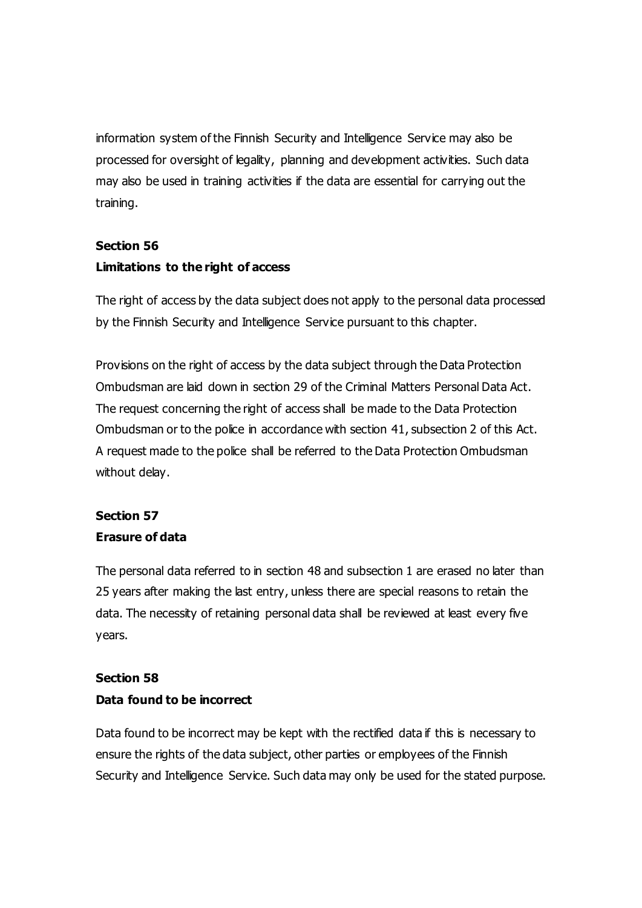information system of the Finnish Security and Intelligence Service may also be processed for oversight of legality, planning and development activities. Such data may also be used in training activities if the data are essential for carrying out the training.

# **Section 56 Limitations to the right of access**

The right of access by the data subject does not apply to the personal data processed by the Finnish Security and Intelligence Service pursuant to this chapter.

Provisions on the right of access by the data subject through the Data Protection Ombudsman are laid down in section 29 of the Criminal Matters Personal Data Act. The request concerning the right of access shall be made to the Data Protection Ombudsman or to the police in accordance with section 41, subsection 2 of this Act. A request made to the police shall be referred to the Data Protection Ombudsman without delay.

## **Section 57**

## **Erasure of data**

The personal data referred to in section 48 and subsection 1 are erased no later than 25 years after making the last entry, unless there are special reasons to retain the data. The necessity of retaining personal data shall be reviewed at least every five years.

# **Section 58 Data found to be incorrect**

Data found to be incorrect may be kept with the rectified data if this is necessary to ensure the rights of the data subject, other parties or employees of the Finnish Security and Intelligence Service. Such data may only be used for the stated purpose.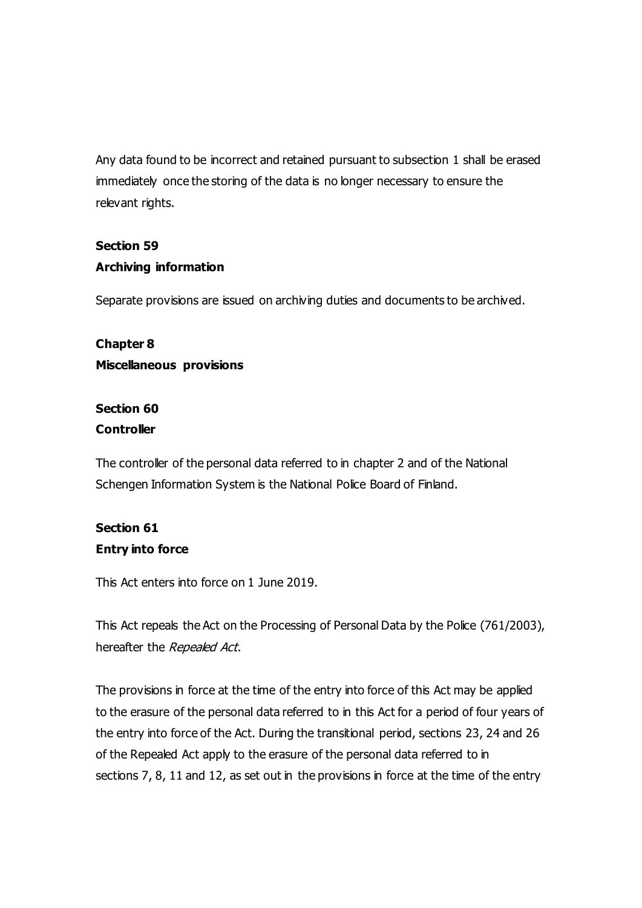Any data found to be incorrect and retained pursuant to subsection 1 shall be erased immediately once the storing of the data is no longer necessary to ensure the relevant rights.

## **Section 59 Archiving information**

Separate provisions are issued on archiving duties and documents to be archived.

# **Chapter 8 Miscellaneous provisions**

## **Section 60 Controller**

The controller of the personal data referred to in chapter 2 and of the National Schengen Information System is the National Police Board of Finland.

# **Section 61 Entry into force**

This Act enters into force on 1 June 2019.

This Act repeals the Act on the Processing of Personal Data by the Police (761/2003), hereafter the Repealed Act.

The provisions in force at the time of the entry into force of this Act may be applied to the erasure of the personal data referred to in this Act for a period of four years of the entry into force of the Act. During the transitional period, sections 23, 24 and 26 of the Repealed Act apply to the erasure of the personal data referred to in sections 7, 8, 11 and 12, as set out in the provisions in force at the time of the entry